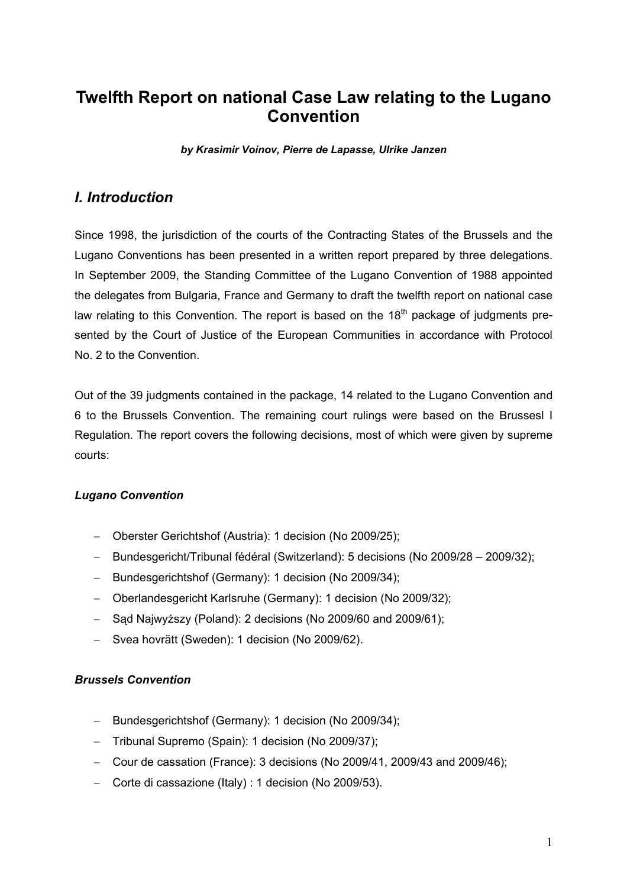# **Twelfth Report on national Case Law relating to the Lugano Convention**

*by Krasimir Voinov, Pierre de Lapasse, Ulrike Janzen* 

## *I. Introduction*

Since 1998, the jurisdiction of the courts of the Contracting States of the Brussels and the Lugano Conventions has been presented in a written report prepared by three delegations. In September 2009, the Standing Committee of the Lugano Convention of 1988 appointed the delegates from Bulgaria, France and Germany to draft the twelfth report on national case law relating to this Convention. The report is based on the  $18<sup>th</sup>$  package of judgments presented by the Court of Justice of the European Communities in accordance with Protocol No. 2 to the Convention.

Out of the 39 judgments contained in the package, 14 related to the Lugano Convention and 6 to the Brussels Convention. The remaining court rulings were based on the Brussesl I Regulation. The report covers the following decisions, most of which were given by supreme courts:

#### *Lugano Convention*

- − Oberster Gerichtshof (Austria): 1 decision (No 2009/25);
- − Bundesgericht/Tribunal fédéral (Switzerland): 5 decisions (No 2009/28 2009/32);
- − Bundesgerichtshof (Germany): 1 decision (No 2009/34);
- − Oberlandesgericht Karlsruhe (Germany): 1 decision (No 2009/32);
- − Sąd Najwyższy (Poland): 2 decisions (No 2009/60 and 2009/61);
- − Svea hovrätt (Sweden): 1 decision (No 2009/62).

#### *Brussels Convention*

- − Bundesgerichtshof (Germany): 1 decision (No 2009/34);
- − Tribunal Supremo (Spain): 1 decision (No 2009/37);
- − Cour de cassation (France): 3 decisions (No 2009/41, 2009/43 and 2009/46);
- − Corte di cassazione (Italy) : 1 decision (No 2009/53).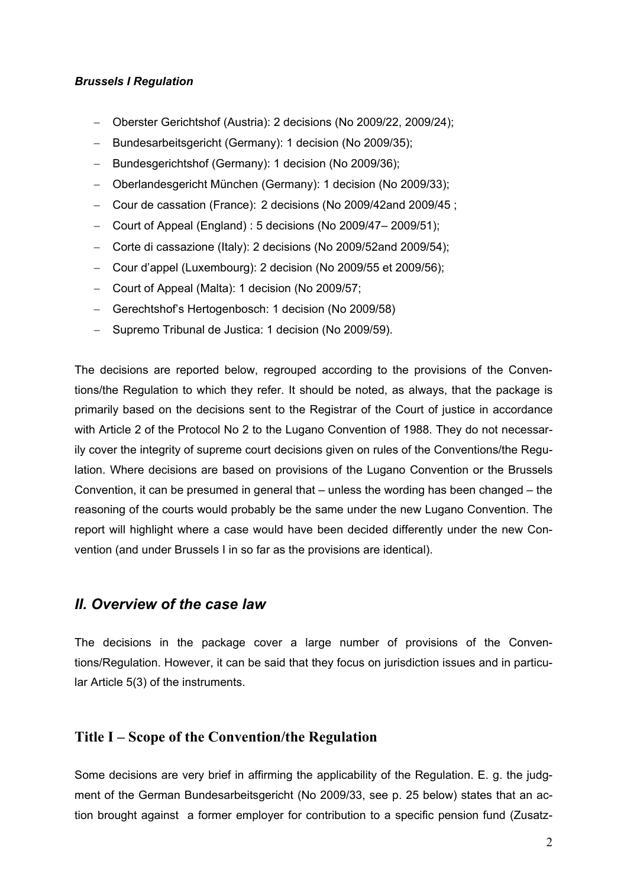#### *Brussels I Regulation*

- − Oberster Gerichtshof (Austria): 2 decisions (No 2009/22, 2009/24);
- − Bundesarbeitsgericht (Germany): 1 decision (No 2009/35);
- − Bundesgerichtshof (Germany): 1 decision (No 2009/36);
- − Oberlandesgericht München (Germany): 1 decision (No 2009/33);
- − Cour de cassation (France): 2 decisions (No 2009/42and 2009/45 ;
- − Court of Appeal (England) : 5 decisions (No 2009/47– 2009/51);
- − Corte di cassazione (Italy): 2 decisions (No 2009/52and 2009/54);
- − Cour d'appel (Luxembourg): 2 decision (No 2009/55 et 2009/56);
- − Court of Appeal (Malta): 1 decision (No 2009/57;
- − Gerechtshof's Hertogenbosch: 1 decision (No 2009/58)
- − Supremo Tribunal de Justica: 1 decision (No 2009/59).

The decisions are reported below, regrouped according to the provisions of the Conventions/the Regulation to which they refer. It should be noted, as always, that the package is primarily based on the decisions sent to the Registrar of the Court of justice in accordance with Article 2 of the Protocol No 2 to the Lugano Convention of 1988. They do not necessarily cover the integrity of supreme court decisions given on rules of the Conventions/the Regulation. Where decisions are based on provisions of the Lugano Convention or the Brussels Convention, it can be presumed in general that – unless the wording has been changed – the reasoning of the courts would probably be the same under the new Lugano Convention. The report will highlight where a case would have been decided differently under the new Convention (and under Brussels I in so far as the provisions are identical).

#### *II. Overview of the case law*

The decisions in the package cover a large number of provisions of the Conventions/Regulation. However, it can be said that they focus on jurisdiction issues and in particular Article 5(3) of the instruments.

## **Title I – Scope of the Convention/the Regulation**

Some decisions are very brief in affirming the applicability of the Regulation. E. g. the judgment of the German Bundesarbeitsgericht (No 2009/33, see p. 25 below) states that an action brought against a former employer for contribution to a specific pension fund (Zusatz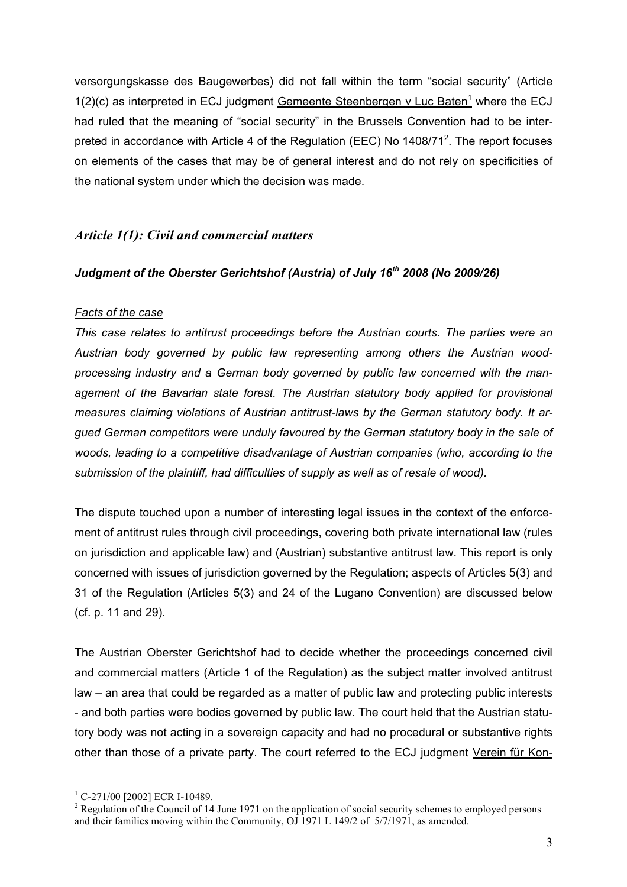versorgungskasse des Baugewerbes) did not fall within the term "social security" (Article  $1(2)(c)$  as interpreted in ECJ judgment Gemeente Steenbergen v Luc Baten<sup>1</sup> where the ECJ had ruled that the meaning of "social security" in the Brussels Convention had to be interpreted in accordance with Article 4 of the Regulation (EEC) No 1408/71<sup>2</sup>. The report focuses on elements of the cases that may be of general interest and do not rely on specificities of the national system under which the decision was made.

## *Article 1(1): Civil and commercial matters*

### Judgment of the Oberster Gerichtshof (Austria) of July 16<sup>th</sup> 2008 (No 2009/26)

#### *Facts of the case*

*This case relates to antitrust proceedings before the Austrian courts. The parties were an Austrian body governed by public law representing among others the Austrian woodprocessing industry and a German body governed by public law concerned with the man*agement of the Bavarian state forest. The Austrian statutory body applied for provisional *measures claiming violations of Austrian antitrust-laws by the German statutory body. It argued German competitors were unduly favoured by the German statutory body in the sale of woods, leading to a competitive disadvantage of Austrian companies (who, according to the submission of the plaintiff, had difficulties of supply as well as of resale of wood).* 

The dispute touched upon a number of interesting legal issues in the context of the enforcement of antitrust rules through civil proceedings, covering both private international law (rules on jurisdiction and applicable law) and (Austrian) substantive antitrust law. This report is only concerned with issues of jurisdiction governed by the Regulation; aspects of Articles 5(3) and 31 of the Regulation (Articles 5(3) and 24 of the Lugano Convention) are discussed below (cf. p. 11 and 29).

The Austrian Oberster Gerichtshof had to decide whether the proceedings concerned civil and commercial matters (Article 1 of the Regulation) as the subject matter involved antitrust law – an area that could be regarded as a matter of public law and protecting public interests - and both parties were bodies governed by public law. The court held that the Austrian statutory body was not acting in a sovereign capacity and had no procedural or substantive rights other than those of a private party. The court referred to the ECJ judgment Verein für Kon-

1

<sup>&</sup>lt;sup>1</sup> C-271/00 [2002] ECR I-10489.

 $2^2$  Regulation of the Council of 14 June 1971 on the application of social security schemes to employed persons and their families moving within the Community, OJ 1971 L 149/2 of 5/7/1971, as amended.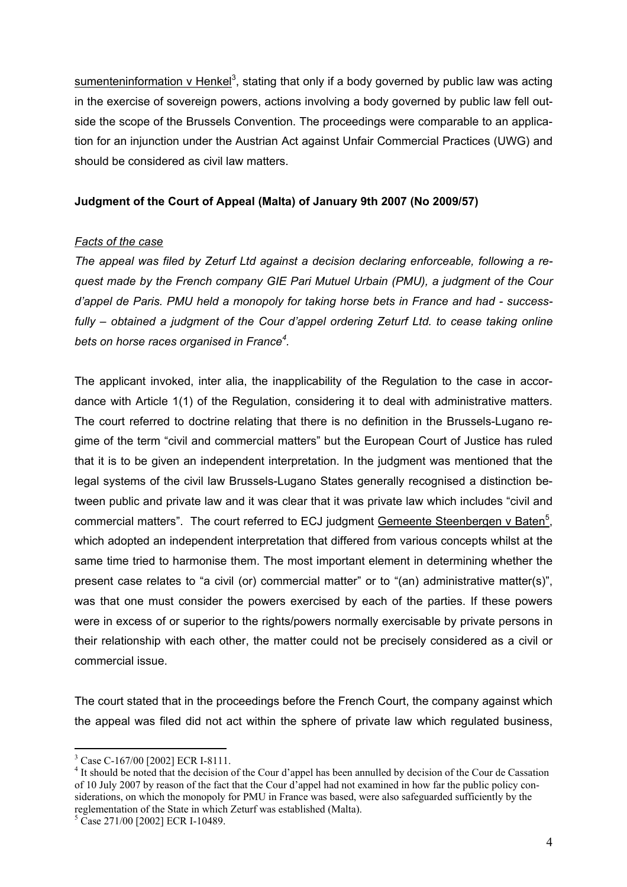sumenteninformation v Henkel<sup>3</sup>, stating that only if a body governed by public law was acting in the exercise of sovereign powers, actions involving a body governed by public law fell outside the scope of the Brussels Convention. The proceedings were comparable to an application for an injunction under the Austrian Act against Unfair Commercial Practices (UWG) and should be considered as civil law matters.

### **Judgment of the Court of Appeal (Malta) of January 9th 2007 (No 2009/57)**

### *Facts of the case*

*The appeal was filed by Zeturf Ltd against a decision declaring enforceable, following a request made by the French company GIE Pari Mutuel Urbain (PMU), a judgment of the Cour d'appel de Paris. PMU held a monopoly for taking horse bets in France and had - successfully – obtained a judgment of the Cour d'appel ordering Zeturf Ltd. to cease taking online bets on horse races organised in France<sup>4</sup> .* 

The applicant invoked, inter alia, the inapplicability of the Regulation to the case in accordance with Article 1(1) of the Regulation, considering it to deal with administrative matters. The court referred to doctrine relating that there is no definition in the Brussels-Lugano regime of the term "civil and commercial matters" but the European Court of Justice has ruled that it is to be given an independent interpretation. In the judgment was mentioned that the legal systems of the civil law Brussels-Lugano States generally recognised a distinction between public and private law and it was clear that it was private law which includes "civil and commercial matters". The court referred to ECJ judgment Gemeente Steenbergen v Baten<sup>5</sup>, which adopted an independent interpretation that differed from various concepts whilst at the same time tried to harmonise them. The most important element in determining whether the present case relates to "a civil (or) commercial matter" or to "(an) administrative matter(s)", was that one must consider the powers exercised by each of the parties. If these powers were in excess of or superior to the rights/powers normally exercisable by private persons in their relationship with each other, the matter could not be precisely considered as a civil or commercial issue.

The court stated that in the proceedings before the French Court, the company against which the appeal was filed did not act within the sphere of private law which regulated business,

<sup>1</sup> <sup>3</sup> Case C-167/00 [2002] ECR I-8111.

<sup>&</sup>lt;sup>4</sup> It should be noted that the decision of the Cour d'appel has been annulled by decision of the Cour de Cassation of 10 July 2007 by reason of the fact that the Cour d'appel had not examined in how far the public policy considerations, on which the monopoly for PMU in France was based, were also safeguarded sufficiently by the reglementation of the State in which Zeturf was established (Malta).

<sup>&</sup>lt;sup>5</sup> Case 271/00 [2002] ECR I-10489.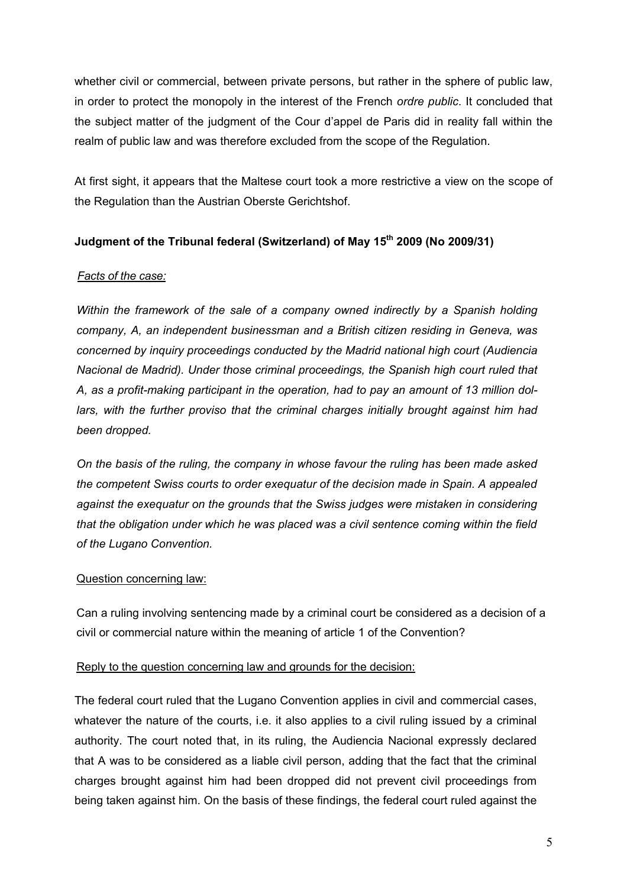whether civil or commercial, between private persons, but rather in the sphere of public law, in order to protect the monopoly in the interest of the French *ordre public*. It concluded that the subject matter of the judgment of the Cour d'appel de Paris did in reality fall within the realm of public law and was therefore excluded from the scope of the Regulation.

At first sight, it appears that the Maltese court took a more restrictive a view on the scope of the Regulation than the Austrian Oberste Gerichtshof.

## **Judgment of the Tribunal federal (Switzerland) of May 15th 2009 (No 2009/31)**

## *Facts of the case:*

*Within the framework of the sale of a company owned indirectly by a Spanish holding company, A, an independent businessman and a British citizen residing in Geneva, was concerned by inquiry proceedings conducted by the Madrid national high court (Audiencia Nacional de Madrid). Under those criminal proceedings, the Spanish high court ruled that A, as a profit-making participant in the operation, had to pay an amount of 13 million dollars, with the further proviso that the criminal charges initially brought against him had been dropped.* 

*On the basis of the ruling, the company in whose favour the ruling has been made asked the competent Swiss courts to order exequatur of the decision made in Spain. A appealed against the exequatur on the grounds that the Swiss judges were mistaken in considering that the obligation under which he was placed was a civil sentence coming within the field of the Lugano Convention.* 

## Question concerning law:

Can a ruling involving sentencing made by a criminal court be considered as a decision of a civil or commercial nature within the meaning of article 1 of the Convention?

#### Reply to the question concerning law and grounds for the decision:

The federal court ruled that the Lugano Convention applies in civil and commercial cases, whatever the nature of the courts, i.e. it also applies to a civil ruling issued by a criminal authority. The court noted that, in its ruling, the Audiencia Nacional expressly declared that A was to be considered as a liable civil person, adding that the fact that the criminal charges brought against him had been dropped did not prevent civil proceedings from being taken against him. On the basis of these findings, the federal court ruled against the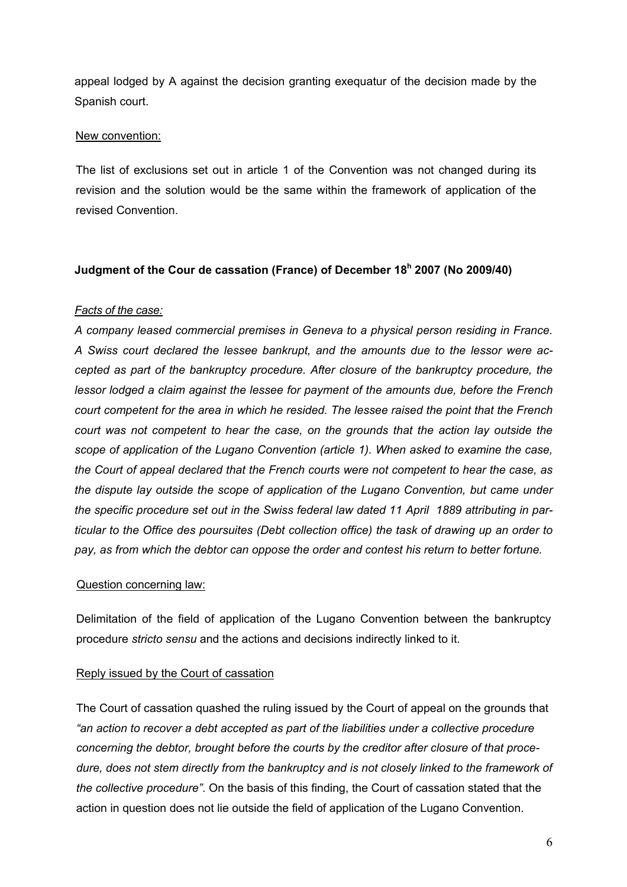appeal lodged by A against the decision granting exequatur of the decision made by the Spanish court.

### New convention:

The list of exclusions set out in article 1 of the Convention was not changed during its revision and the solution would be the same within the framework of application of the revised Convention.

### **Judgment of the Cour de cassation (France) of December 18h 2007 (No 2009/40)**

### *Facts of the case:*

*A company leased commercial premises in Geneva to a physical person residing in France. A Swiss court declared the lessee bankrupt, and the amounts due to the lessor were accepted as part of the bankruptcy procedure. After closure of the bankruptcy procedure, the lessor lodged a claim against the lessee for payment of the amounts due, before the French court competent for the area in which he resided. The lessee raised the point that the French court was not competent to hear the case, on the grounds that the action lay outside the scope of application of the Lugano Convention (article 1). When asked to examine the case, the Court of appeal declared that the French courts were not competent to hear the case, as the dispute lay outside the scope of application of the Lugano Convention, but came under the specific procedure set out in the Swiss federal law dated 11 April 1889 attributing in particular to the Office des poursuites (Debt collection office) the task of drawing up an order to pay, as from which the debtor can oppose the order and contest his return to better fortune.*

#### Question concerning law:

Delimitation of the field of application of the Lugano Convention between the bankruptcy procedure *stricto sensu* and the actions and decisions indirectly linked to it.

## Reply issued by the Court of cassation

The Court of cassation quashed the ruling issued by the Court of appeal on the grounds that *"an action to recover a debt accepted as part of the liabilities under a collective procedure concerning the debtor, brought before the courts by the creditor after closure of that procedure, does not stem directly from the bankruptcy and is not closely linked to the framework of the collective procedure"*. On the basis of this finding, the Court of cassation stated that the action in question does not lie outside the field of application of the Lugano Convention.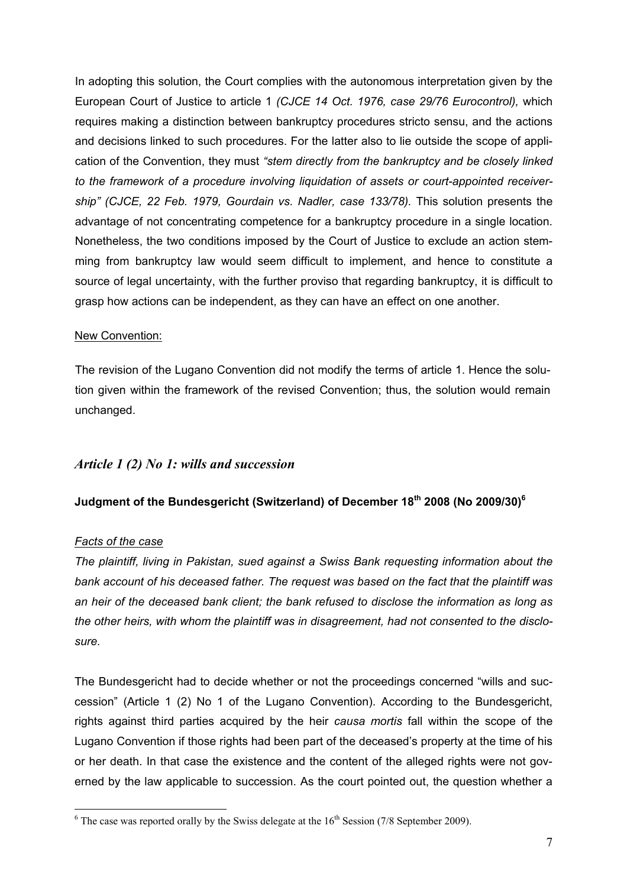In adopting this solution, the Court complies with the autonomous interpretation given by the European Court of Justice to article 1 *(CJCE 14 Oct. 1976, case 29/76 Eurocontrol),* which requires making a distinction between bankruptcy procedures stricto sensu, and the actions and decisions linked to such procedures. For the latter also to lie outside the scope of application of the Convention, they must *"stem directly from the bankruptcy and be closely linked to the framework of a procedure involving liquidation of assets or court-appointed receivership" (CJCE, 22 Feb. 1979, Gourdain vs. Nadler, case 133/78).* This solution presents the advantage of not concentrating competence for a bankruptcy procedure in a single location. Nonetheless, the two conditions imposed by the Court of Justice to exclude an action stemming from bankruptcy law would seem difficult to implement, and hence to constitute a source of legal uncertainty, with the further proviso that regarding bankruptcy, it is difficult to grasp how actions can be independent, as they can have an effect on one another.

### New Convention:

The revision of the Lugano Convention did not modify the terms of article 1. Hence the solution given within the framework of the revised Convention; thus, the solution would remain unchanged.

## *Article 1 (2) No 1: wills and succession*

## **Judgment of the Bundesgericht (Switzerland) of December 18th 2008 (No 2009/30)6**

#### *Facts of the case*

1

*The plaintiff, living in Pakistan, sued against a Swiss Bank requesting information about the bank account of his deceased father. The request was based on the fact that the plaintiff was an heir of the deceased bank client; the bank refused to disclose the information as long as the other heirs, with whom the plaintiff was in disagreement, had not consented to the disclosure.* 

The Bundesgericht had to decide whether or not the proceedings concerned "wills and succession" (Article 1 (2) No 1 of the Lugano Convention). According to the Bundesgericht, rights against third parties acquired by the heir *causa mortis* fall within the scope of the Lugano Convention if those rights had been part of the deceased's property at the time of his or her death. In that case the existence and the content of the alleged rights were not governed by the law applicable to succession. As the court pointed out, the question whether a

 $6$  The case was reported orally by the Swiss delegate at the  $16<sup>th</sup>$  Session (7/8 September 2009).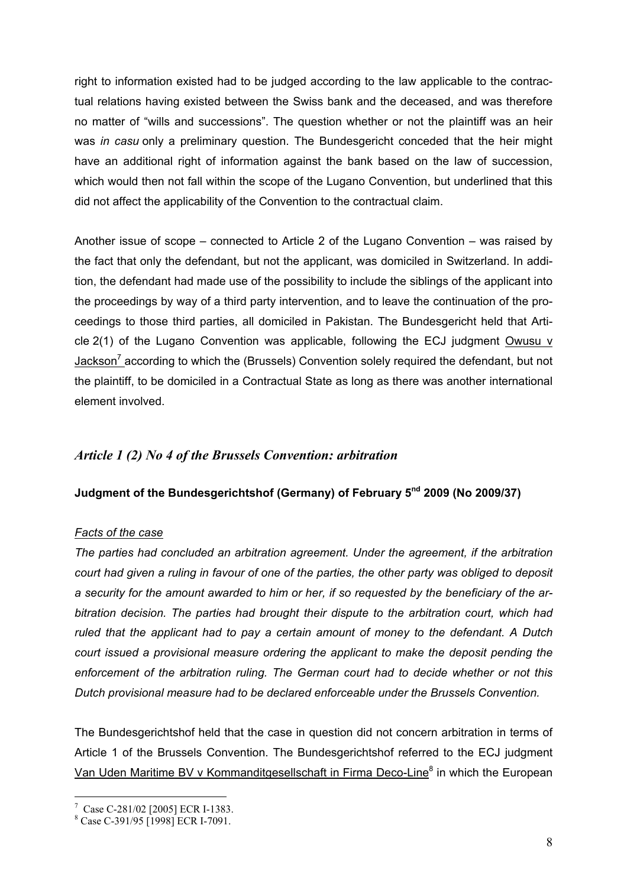right to information existed had to be judged according to the law applicable to the contractual relations having existed between the Swiss bank and the deceased, and was therefore no matter of "wills and successions". The question whether or not the plaintiff was an heir was *in casu* only a preliminary question. The Bundesgericht conceded that the heir might have an additional right of information against the bank based on the law of succession, which would then not fall within the scope of the Lugano Convention, but underlined that this did not affect the applicability of the Convention to the contractual claim.

Another issue of scope – connected to Article 2 of the Lugano Convention – was raised by the fact that only the defendant, but not the applicant, was domiciled in Switzerland. In addition, the defendant had made use of the possibility to include the siblings of the applicant into the proceedings by way of a third party intervention, and to leave the continuation of the proceedings to those third parties, all domiciled in Pakistan. The Bundesgericht held that Article 2(1) of the Lugano Convention was applicable, following the ECJ judgment Owusu v Jackson<sup>7</sup> according to which the (Brussels) Convention solely required the defendant, but not the plaintiff, to be domiciled in a Contractual State as long as there was another international element involved.

## *Article 1 (2) No 4 of the Brussels Convention: arbitration*

## **Judgment of the Bundesgerichtshof (Germany) of February 5nd 2009 (No 2009/37)**

#### *Facts of the case*

*The parties had concluded an arbitration agreement. Under the agreement, if the arbitration court had given a ruling in favour of one of the parties, the other party was obliged to deposit a security for the amount awarded to him or her, if so requested by the beneficiary of the arbitration decision. The parties had brought their dispute to the arbitration court, which had ruled that the applicant had to pay a certain amount of money to the defendant. A Dutch court issued a provisional measure ordering the applicant to make the deposit pending the enforcement of the arbitration ruling. The German court had to decide whether or not this Dutch provisional measure had to be declared enforceable under the Brussels Convention.* 

The Bundesgerichtshof held that the case in question did not concern arbitration in terms of Article 1 of the Brussels Convention. The Bundesgerichtshof referred to the ECJ judgment Van Uden Maritime BV v Kommanditgesellschaft in Firma Deco-Line<sup>8</sup> in which the European

1

<sup>7</sup> Case C-281/02 [2005] ECR I-1383.

<sup>8</sup> Case C-391/95 [1998] ECR I-7091.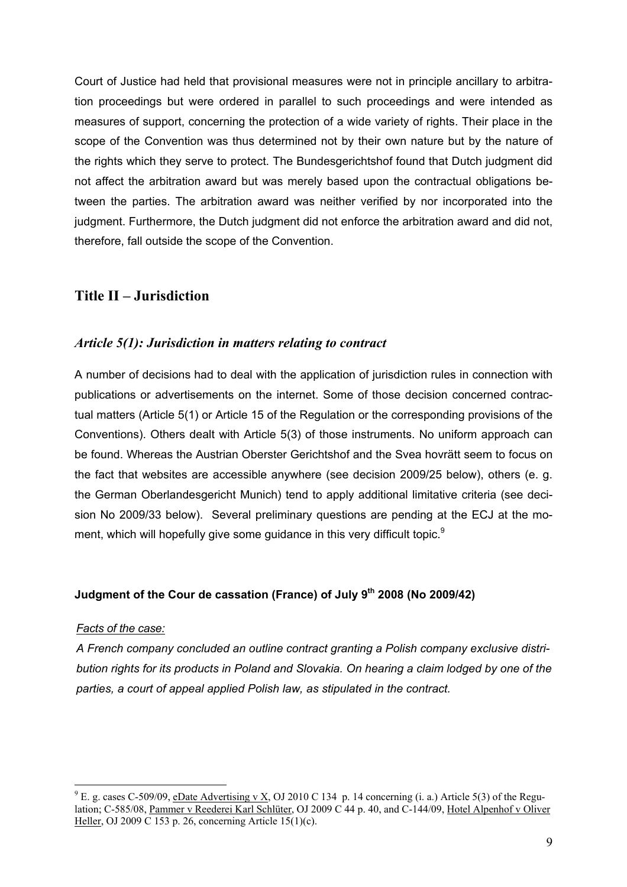Court of Justice had held that provisional measures were not in principle ancillary to arbitration proceedings but were ordered in parallel to such proceedings and were intended as measures of support, concerning the protection of a wide variety of rights. Their place in the scope of the Convention was thus determined not by their own nature but by the nature of the rights which they serve to protect. The Bundesgerichtshof found that Dutch judgment did not affect the arbitration award but was merely based upon the contractual obligations between the parties. The arbitration award was neither verified by nor incorporated into the judgment. Furthermore, the Dutch judgment did not enforce the arbitration award and did not, therefore, fall outside the scope of the Convention.

## **Title II – Jurisdiction**

## *Article 5(1): Jurisdiction in matters relating to contract*

A number of decisions had to deal with the application of jurisdiction rules in connection with publications or advertisements on the internet. Some of those decision concerned contractual matters (Article 5(1) or Article 15 of the Regulation or the corresponding provisions of the Conventions). Others dealt with Article 5(3) of those instruments. No uniform approach can be found. Whereas the Austrian Oberster Gerichtshof and the Svea hovrätt seem to focus on the fact that websites are accessible anywhere (see decision 2009/25 below), others (e. g. the German Oberlandesgericht Munich) tend to apply additional limitative criteria (see decision No 2009/33 below). Several preliminary questions are pending at the ECJ at the moment, which will hopefully give some guidance in this very difficult topic.<sup>9</sup>

## **Judgment of the Cour de cassation (France) of July 9th 2008 (No 2009/42)**

#### *Facts of the case:*

1

*A French company concluded an outline contract granting a Polish company exclusive distribution rights for its products in Poland and Slovakia. On hearing a claim lodged by one of the parties, a court of appeal applied Polish law, as stipulated in the contract.* 

<sup>&</sup>lt;sup>9</sup> E. g. cases C-509/09, eDate Advertising v X, OJ 2010 C 134 p. 14 concerning (i. a.) Article 5(3) of the Regulation; C-585/08, Pammer v Reederei Karl Schlüter, OJ 2009 C 44 p. 40, and C-144/09, Hotel Alpenhof v Oliver Heller, OJ 2009 C 153 p. 26, concerning Article 15(1)(c).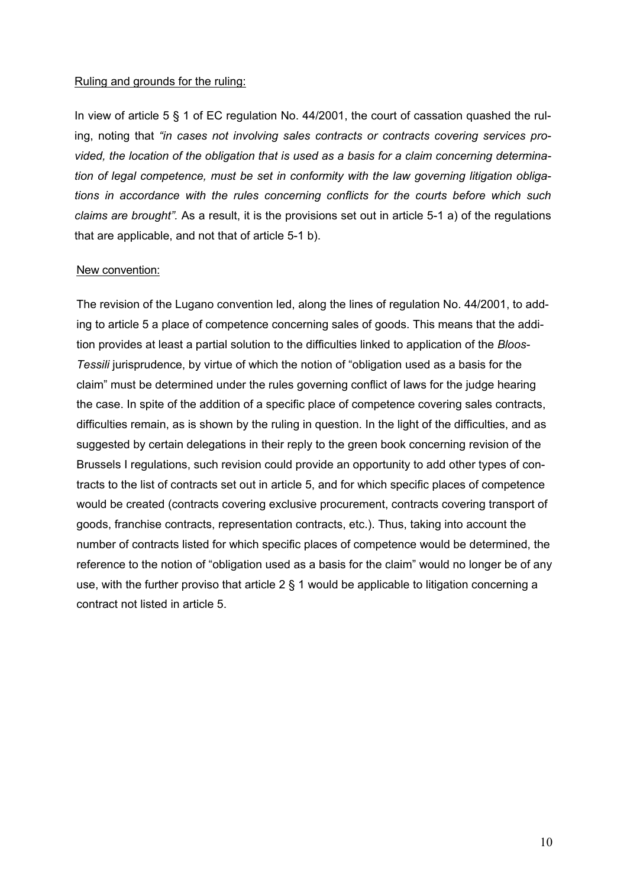#### Ruling and grounds for the ruling:

In view of article 5 § 1 of EC regulation No. 44/2001, the court of cassation quashed the ruling, noting that *"in cases not involving sales contracts or contracts covering services provided, the location of the obligation that is used as a basis for a claim concerning determination of legal competence, must be set in conformity with the law governing litigation obligations in accordance with the rules concerning conflicts for the courts before which such claims are brought".* As a result, it is the provisions set out in article 5-1 a) of the regulations that are applicable, and not that of article 5-1 b).

#### New convention:

The revision of the Lugano convention led, along the lines of regulation No. 44/2001, to adding to article 5 a place of competence concerning sales of goods. This means that the addition provides at least a partial solution to the difficulties linked to application of the *Bloos-***Tessili jurisprudence, by virtue of which the notion of "obligation used as a basis for the** claim" must be determined under the rules governing conflict of laws for the judge hearing the case. In spite of the addition of a specific place of competence covering sales contracts, difficulties remain, as is shown by the ruling in question. In the light of the difficulties, and as suggested by certain delegations in their reply to the green book concerning revision of the Brussels I regulations, such revision could provide an opportunity to add other types of contracts to the list of contracts set out in article 5, and for which specific places of competence would be created (contracts covering exclusive procurement, contracts covering transport of goods, franchise contracts, representation contracts, etc.). Thus, taking into account the number of contracts listed for which specific places of competence would be determined, the reference to the notion of "obligation used as a basis for the claim" would no longer be of any use, with the further proviso that article 2 § 1 would be applicable to litigation concerning a contract not listed in article 5.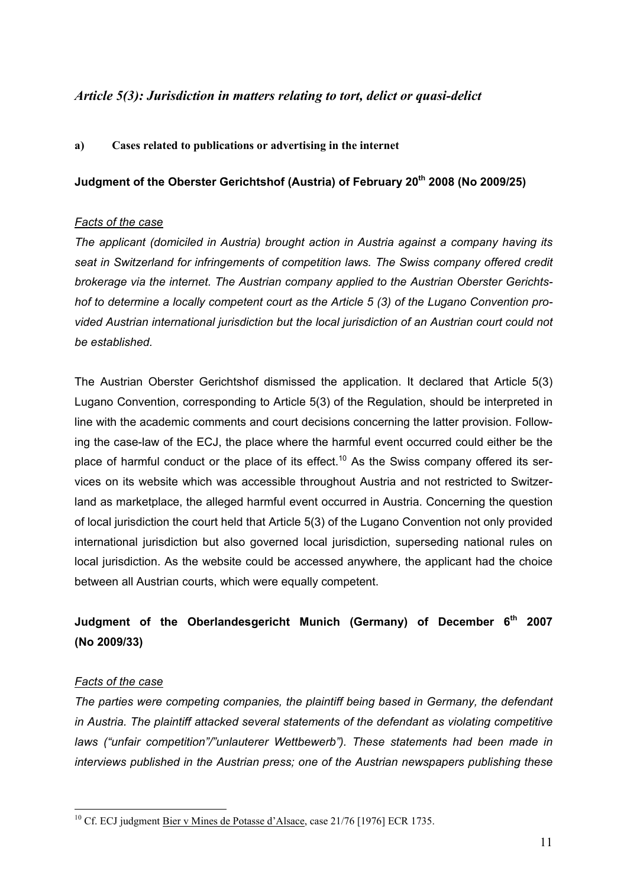## *Article 5(3): Jurisdiction in matters relating to tort, delict or quasi-delict*

#### **a) Cases related to publications or advertising in the internet**

### **Judgment of the Oberster Gerichtshof (Austria) of February 20<sup>th</sup> 2008 (No 2009/25)**

#### *Facts of the case*

*The applicant (domiciled in Austria) brought action in Austria against a company having its seat in Switzerland for infringements of competition laws. The Swiss company offered credit brokerage via the internet. The Austrian company applied to the Austrian Oberster Gerichtshof to determine a locally competent court as the Article 5 (3) of the Lugano Convention provided Austrian international jurisdiction but the local jurisdiction of an Austrian court could not be established.* 

The Austrian Oberster Gerichtshof dismissed the application. It declared that Article 5(3) Lugano Convention, corresponding to Article 5(3) of the Regulation, should be interpreted in line with the academic comments and court decisions concerning the latter provision. Following the case-law of the ECJ, the place where the harmful event occurred could either be the place of harmful conduct or the place of its effect.<sup>10</sup> As the Swiss company offered its services on its website which was accessible throughout Austria and not restricted to Switzerland as marketplace, the alleged harmful event occurred in Austria. Concerning the question of local jurisdiction the court held that Article 5(3) of the Lugano Convention not only provided international jurisdiction but also governed local jurisdiction, superseding national rules on local jurisdiction. As the website could be accessed anywhere, the applicant had the choice between all Austrian courts, which were equally competent.

## **Judgment of the Oberlandesgericht Munich (Germany) of December 6th 2007 (No 2009/33)**

## *Facts of the case*

1

*The parties were competing companies, the plaintiff being based in Germany, the defendant in Austria. The plaintiff attacked several statements of the defendant as violating competitive laws ("unfair competition"/"unlauterer Wettbewerb"). These statements had been made in interviews published in the Austrian press; one of the Austrian newspapers publishing these* 

<sup>&</sup>lt;sup>10</sup> Cf. ECJ judgment Bier <u>v Mines de Potasse d'Alsace</u>, case 21/76 [1976] ECR 1735.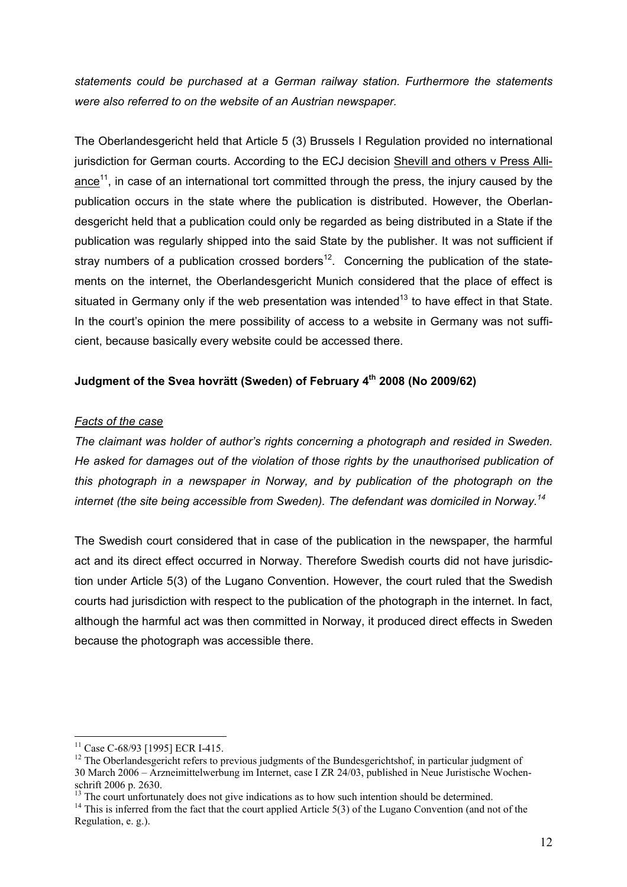*statements could be purchased at a German railway station. Furthermore the statements were also referred to on the website of an Austrian newspaper.* 

The Oberlandesgericht held that Article 5 (3) Brussels I Regulation provided no international jurisdiction for German courts. According to the ECJ decision Shevill and others v Press Alliance<sup>11</sup>, in case of an international tort committed through the press, the injury caused by the publication occurs in the state where the publication is distributed. However, the Oberlandesgericht held that a publication could only be regarded as being distributed in a State if the publication was regularly shipped into the said State by the publisher. It was not sufficient if stray numbers of a publication crossed borders<sup>12</sup>. Concerning the publication of the statements on the internet, the Oberlandesgericht Munich considered that the place of effect is situated in Germany only if the web presentation was intended<sup>13</sup> to have effect in that State. In the court's opinion the mere possibility of access to a website in Germany was not sufficient, because basically every website could be accessed there.

## **Judgment of the Svea hovrätt (Sweden) of February 4th 2008 (No 2009/62)**

## *Facts of the case*

*The claimant was holder of author's rights concerning a photograph and resided in Sweden. He asked for damages out of the violation of those rights by the unauthorised publication of this photograph in a newspaper in Norway, and by publication of the photograph on the internet (the site being accessible from Sweden). The defendant was domiciled in Norway.<sup>14</sup>*

The Swedish court considered that in case of the publication in the newspaper, the harmful act and its direct effect occurred in Norway. Therefore Swedish courts did not have jurisdiction under Article 5(3) of the Lugano Convention. However, the court ruled that the Swedish courts had jurisdiction with respect to the publication of the photograph in the internet. In fact, although the harmful act was then committed in Norway, it produced direct effects in Sweden because the photograph was accessible there.

1

<sup>&</sup>lt;sup>11</sup> Case C-68/93 [1995] ECR I-415.

<sup>&</sup>lt;sup>12</sup> The Oberlandesgericht refers to previous judgments of the Bundesgerichtshof, in particular judgment of 30 March 2006 – Arzneimittelwerbung im Internet, case I ZR 24/03, published in Neue Juristische Wochenschrift 2006 p. 2630.

<sup>&</sup>lt;sup>13</sup> The court unfortunately does not give indications as to how such intention should be determined.

<sup>&</sup>lt;sup>14</sup> This is inferred from the fact that the court applied Article 5(3) of the Lugano Convention (and not of the Regulation, e. g.).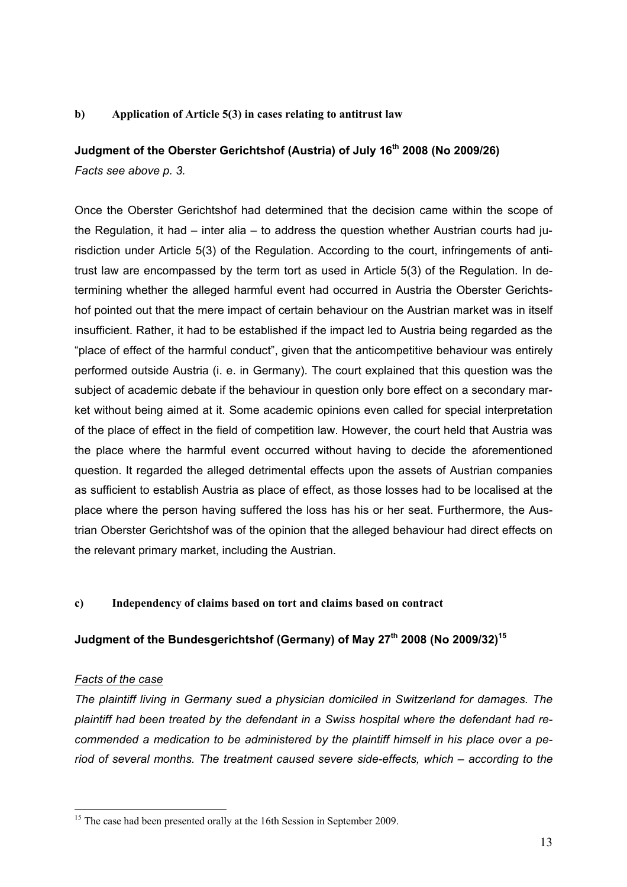#### **b) Application of Article 5(3) in cases relating to antitrust law**

## **Judgment of the Oberster Gerichtshof (Austria) of July 16th 2008 (No 2009/26)**

*Facts see above p. 3.* 

Once the Oberster Gerichtshof had determined that the decision came within the scope of the Regulation, it had – inter alia – to address the question whether Austrian courts had jurisdiction under Article 5(3) of the Regulation. According to the court, infringements of antitrust law are encompassed by the term tort as used in Article 5(3) of the Regulation. In determining whether the alleged harmful event had occurred in Austria the Oberster Gerichtshof pointed out that the mere impact of certain behaviour on the Austrian market was in itself insufficient. Rather, it had to be established if the impact led to Austria being regarded as the "place of effect of the harmful conduct", given that the anticompetitive behaviour was entirely performed outside Austria (i. e. in Germany). The court explained that this question was the subject of academic debate if the behaviour in question only bore effect on a secondary market without being aimed at it. Some academic opinions even called for special interpretation of the place of effect in the field of competition law. However, the court held that Austria was the place where the harmful event occurred without having to decide the aforementioned question. It regarded the alleged detrimental effects upon the assets of Austrian companies as sufficient to establish Austria as place of effect, as those losses had to be localised at the place where the person having suffered the loss has his or her seat. Furthermore, the Austrian Oberster Gerichtshof was of the opinion that the alleged behaviour had direct effects on the relevant primary market, including the Austrian.

#### **c) Independency of claims based on tort and claims based on contract**

#### **Judgment of the Bundesgerichtshof (Germany) of May 27th 2008 (No 2009/32)15**

#### *Facts of the case*

1

*The plaintiff living in Germany sued a physician domiciled in Switzerland for damages. The plaintiff had been treated by the defendant in a Swiss hospital where the defendant had recommended a medication to be administered by the plaintiff himself in his place over a period of several months. The treatment caused severe side-effects, which – according to the* 

<sup>&</sup>lt;sup>15</sup> The case had been presented orally at the 16th Session in September 2009.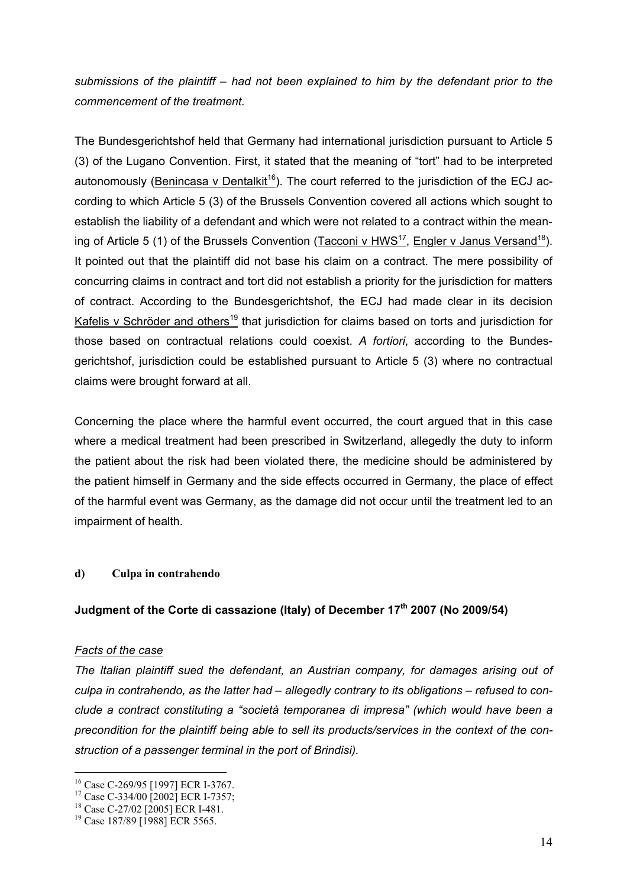*submissions of the plaintiff – had not been explained to him by the defendant prior to the commencement of the treatment.* 

The Bundesgerichtshof held that Germany had international jurisdiction pursuant to Article 5 (3) of the Lugano Convention. First, it stated that the meaning of "tort" had to be interpreted autonomously (Benincasa v Dentalkit<sup>16</sup>). The court referred to the jurisdiction of the ECJ according to which Article 5 (3) of the Brussels Convention covered all actions which sought to establish the liability of a defendant and which were not related to a contract within the meaning of Article 5 (1) of the Brussels Convention (Tacconi v HWS<sup>17</sup>, Engler v Janus Versand<sup>18</sup>). It pointed out that the plaintiff did not base his claim on a contract. The mere possibility of concurring claims in contract and tort did not establish a priority for the jurisdiction for matters of contract. According to the Bundesgerichtshof, the ECJ had made clear in its decision Kafelis v Schröder and others<sup>19</sup> that jurisdiction for claims based on torts and jurisdiction for those based on contractual relations could coexist. *A fortiori*, according to the Bundesgerichtshof, jurisdiction could be established pursuant to Article 5 (3) where no contractual claims were brought forward at all.

Concerning the place where the harmful event occurred, the court argued that in this case where a medical treatment had been prescribed in Switzerland, allegedly the duty to inform the patient about the risk had been violated there, the medicine should be administered by the patient himself in Germany and the side effects occurred in Germany, the place of effect of the harmful event was Germany, as the damage did not occur until the treatment led to an impairment of health.

## **d) Culpa in contrahendo**

#### **Judgment of the Corte di cassazione (Italy) of December 17th 2007 (No 2009/54)**

#### *Facts of the case*

1

*The Italian plaintiff sued the defendant, an Austrian company, for damages arising out of culpa in contrahendo, as the latter had – allegedly contrary to its obligations – refused to conclude a contract constituting a "società temporanea di impresa" (which would have been a precondition for the plaintiff being able to sell its products/services in the context of the construction of a passenger terminal in the port of Brindisi).* 

<sup>16</sup> Case C-269/95 [1997] ECR I-3767.

<sup>&</sup>lt;sup>17</sup> Case C-334/00 [2002] ECR I-7357;

<sup>&</sup>lt;sup>18</sup> Case C-27/02 [2005] ECR I-481.

<sup>&</sup>lt;sup>19</sup> Case 187/89 [1988] ECR 5565.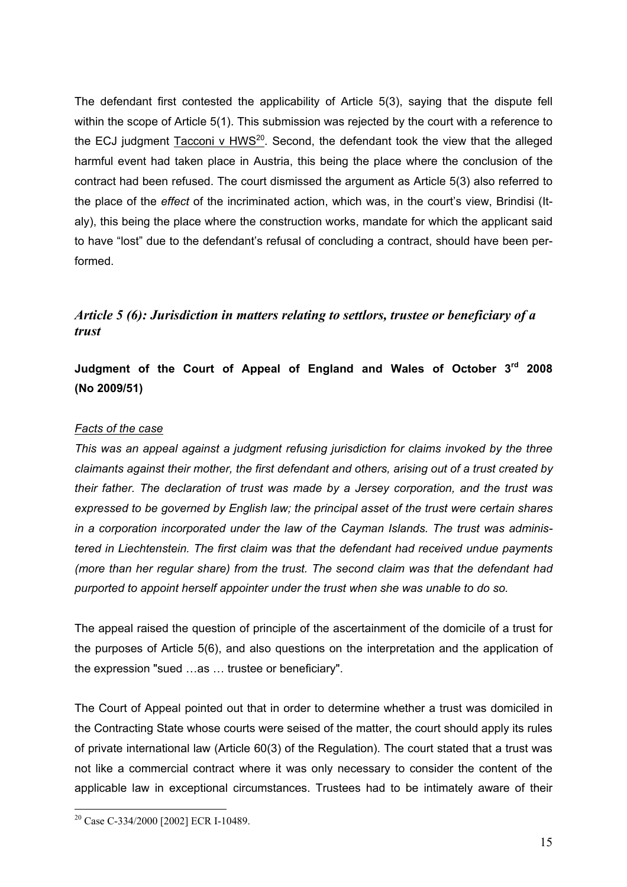The defendant first contested the applicability of Article 5(3), saying that the dispute fell within the scope of Article 5(1). This submission was rejected by the court with a reference to the ECJ judgment Tacconi v  $HWS^{20}$ . Second, the defendant took the view that the alleged harmful event had taken place in Austria, this being the place where the conclusion of the contract had been refused. The court dismissed the argument as Article 5(3) also referred to the place of the *effect* of the incriminated action, which was, in the court's view, Brindisi (Italy), this being the place where the construction works, mandate for which the applicant said to have "lost" due to the defendant's refusal of concluding a contract, should have been performed.

## *Article 5 (6): Jurisdiction in matters relating to settlors, trustee or beneficiary of a trust*

**Judgment of the Court of Appeal of England and Wales of October 3rd 2008 (No 2009/51)** 

## *Facts of the case*

*This was an appeal against a judgment refusing jurisdiction for claims invoked by the three claimants against their mother, the first defendant and others, arising out of a trust created by their father. The declaration of trust was made by a Jersey corporation, and the trust was expressed to be governed by English law; the principal asset of the trust were certain shares in a corporation incorporated under the law of the Cayman Islands. The trust was administered in Liechtenstein. The first claim was that the defendant had received undue payments (more than her regular share) from the trust. The second claim was that the defendant had purported to appoint herself appointer under the trust when she was unable to do so.* 

The appeal raised the question of principle of the ascertainment of the domicile of a trust for the purposes of Article 5(6), and also questions on the interpretation and the application of the expression "sued …as … trustee or beneficiary".

The Court of Appeal pointed out that in order to determine whether a trust was domiciled in the Contracting State whose courts were seised of the matter, the court should apply its rules of private international law (Article 60(3) of the Regulation). The court stated that a trust was not like a commercial contract where it was only necessary to consider the content of the applicable law in exceptional circumstances. Trustees had to be intimately aware of their

<sup>1</sup> 20 Case C-334/2000 [2002] ECR I-10489.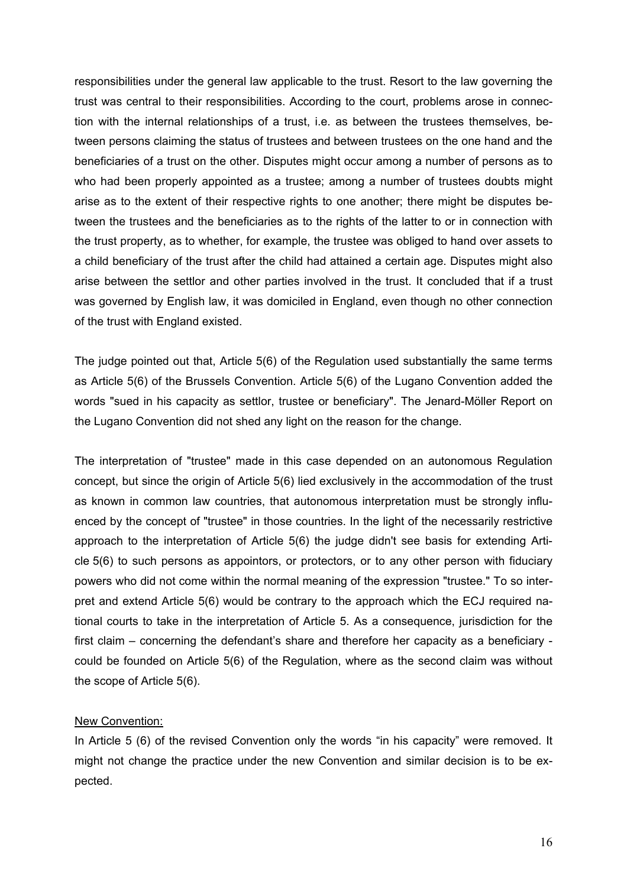responsibilities under the general law applicable to the trust. Resort to the law governing the trust was central to their responsibilities. According to the court, problems arose in connection with the internal relationships of a trust, i.e. as between the trustees themselves, between persons claiming the status of trustees and between trustees on the one hand and the beneficiaries of a trust on the other. Disputes might occur among a number of persons as to who had been properly appointed as a trustee; among a number of trustees doubts might arise as to the extent of their respective rights to one another; there might be disputes between the trustees and the beneficiaries as to the rights of the latter to or in connection with the trust property, as to whether, for example, the trustee was obliged to hand over assets to a child beneficiary of the trust after the child had attained a certain age. Disputes might also arise between the settlor and other parties involved in the trust. It concluded that if a trust was governed by English law, it was domiciled in England, even though no other connection of the trust with England existed.

The judge pointed out that, Article 5(6) of the Regulation used substantially the same terms as Article 5(6) of the Brussels Convention. Article 5(6) of the Lugano Convention added the words "sued in his capacity as settlor, trustee or beneficiary". The Jenard-Möller Report on the Lugano Convention did not shed any light on the reason for the change.

The interpretation of "trustee" made in this case depended on an autonomous Regulation concept, but since the origin of Article 5(6) lied exclusively in the accommodation of the trust as known in common law countries, that autonomous interpretation must be strongly influenced by the concept of "trustee" in those countries. In the light of the necessarily restrictive approach to the interpretation of Article 5(6) the judge didn't see basis for extending Article 5(6) to such persons as appointors, or protectors, or to any other person with fiduciary powers who did not come within the normal meaning of the expression "trustee." To so interpret and extend Article 5(6) would be contrary to the approach which the ECJ required national courts to take in the interpretation of Article 5. As a consequence, jurisdiction for the first claim – concerning the defendant's share and therefore her capacity as a beneficiary could be founded on Article 5(6) of the Regulation, where as the second claim was without the scope of Article 5(6).

#### New Convention:

In Article 5 (6) of the revised Convention only the words "in his capacity" were removed. It might not change the practice under the new Convention and similar decision is to be expected.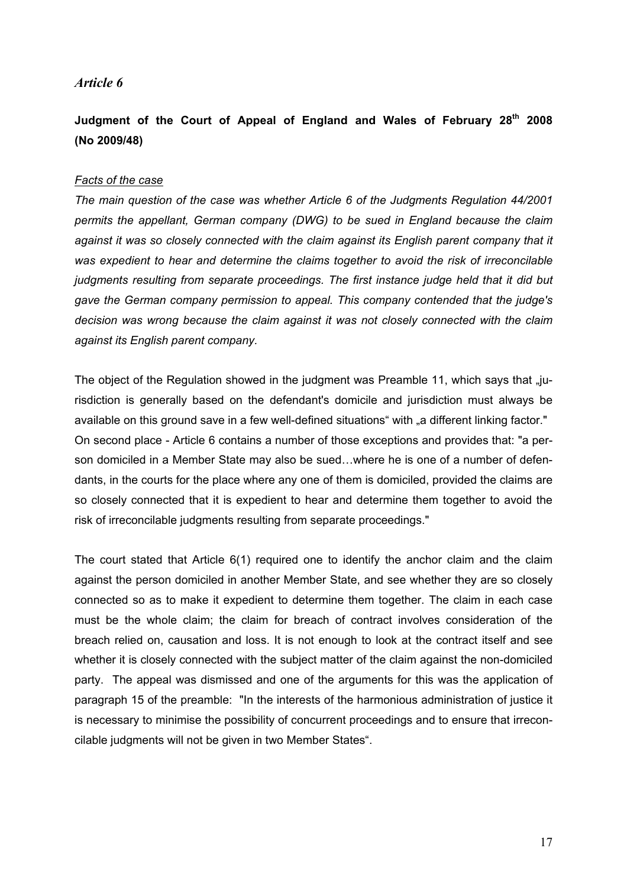#### *Article 6*

## **Judgment of the Court of Appeal of England and Wales of February 28th 2008 (No 2009/48)**

#### *Facts of the case*

*The main question of the case was whether Article 6 of the Judgments Regulation 44/2001 permits the appellant, German company (DWG) to be sued in England because the claim*  against it was so closely connected with the claim against its English parent company that it *was expedient to hear and determine the claims together to avoid the risk of irreconcilable judgments resulting from separate proceedings. The first instance judge held that it did but gave the German company permission to appeal. This company contended that the judge's decision was wrong because the claim against it was not closely connected with the claim against its English parent company.* 

The object of the Regulation showed in the judgment was Preamble 11, which says that "jurisdiction is generally based on the defendant's domicile and jurisdiction must always be available on this ground save in a few well-defined situations" with "a different linking factor." On second place - Article 6 contains a number of those exceptions and provides that: "a person domiciled in a Member State may also be sued…where he is one of a number of defendants, in the courts for the place where any one of them is domiciled, provided the claims are so closely connected that it is expedient to hear and determine them together to avoid the risk of irreconcilable judgments resulting from separate proceedings."

The court stated that Article 6(1) required one to identify the anchor claim and the claim against the person domiciled in another Member State, and see whether they are so closely connected so as to make it expedient to determine them together. The claim in each case must be the whole claim; the claim for breach of contract involves consideration of the breach relied on, causation and loss. It is not enough to look at the contract itself and see whether it is closely connected with the subject matter of the claim against the non-domiciled party. The appeal was dismissed and one of the arguments for this was the application of paragraph 15 of the preamble: "In the interests of the harmonious administration of justice it is necessary to minimise the possibility of concurrent proceedings and to ensure that irreconcilable judgments will not be given in two Member States".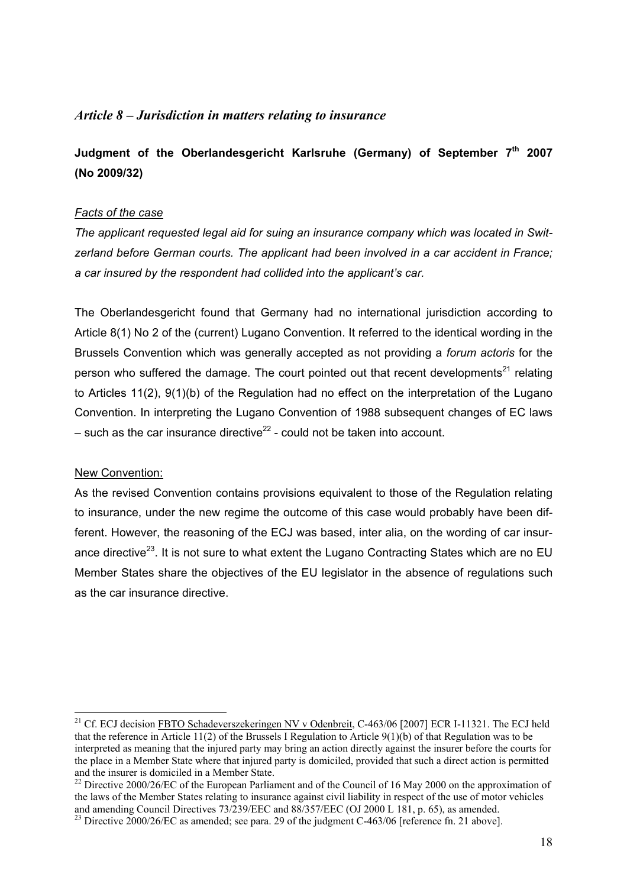## *Article 8 – Jurisdiction in matters relating to insurance*

**Judgment of the Oberlandesgericht Karlsruhe (Germany) of September 7th 2007 (No 2009/32)** 

#### *Facts of the case*

*The applicant requested legal aid for suing an insurance company which was located in Switzerland before German courts. The applicant had been involved in a car accident in France; a car insured by the respondent had collided into the applicant's car.*

The Oberlandesgericht found that Germany had no international jurisdiction according to Article 8(1) No 2 of the (current) Lugano Convention. It referred to the identical wording in the Brussels Convention which was generally accepted as not providing a *forum actoris* for the person who suffered the damage. The court pointed out that recent developments<sup>21</sup> relating to Articles 11(2), 9(1)(b) of the Regulation had no effect on the interpretation of the Lugano Convention. In interpreting the Lugano Convention of 1988 subsequent changes of EC laws – such as the car insurance directive<sup>22</sup> - could not be taken into account.

#### New Convention:

1

As the revised Convention contains provisions equivalent to those of the Regulation relating to insurance, under the new regime the outcome of this case would probably have been different. However, the reasoning of the ECJ was based, inter alia, on the wording of car insurance directive<sup>23</sup>. It is not sure to what extent the Lugano Contracting States which are no EU Member States share the objectives of the EU legislator in the absence of regulations such as the car insurance directive.

<sup>&</sup>lt;sup>21</sup> Cf. ECJ decision FBTO Schadeverszekeringen NV v Odenbreit, C-463/06 [2007] ECR I-11321. The ECJ held that the reference in Article 11(2) of the Brussels I Regulation to Article 9(1)(b) of that Regulation was to be interpreted as meaning that the injured party may bring an action directly against the insurer before the courts for the place in a Member State where that injured party is domiciled, provided that such a direct action is permitted

 $22$  Directive 2000/26/EC of the European Parliament and of the Council of 16 May 2000 on the approximation of the laws of the Member States relating to insurance against civil liability in respect of the use of motor vehicles and amending Council Directives 73/239/EEC and 88/357/EEC (OJ 2000 L 181, p. 65), as amended.

<sup>&</sup>lt;sup>23</sup> Directive 2000/26/EC as amended; see para. 29 of the judgment C-463/06 [reference fn. 21 above].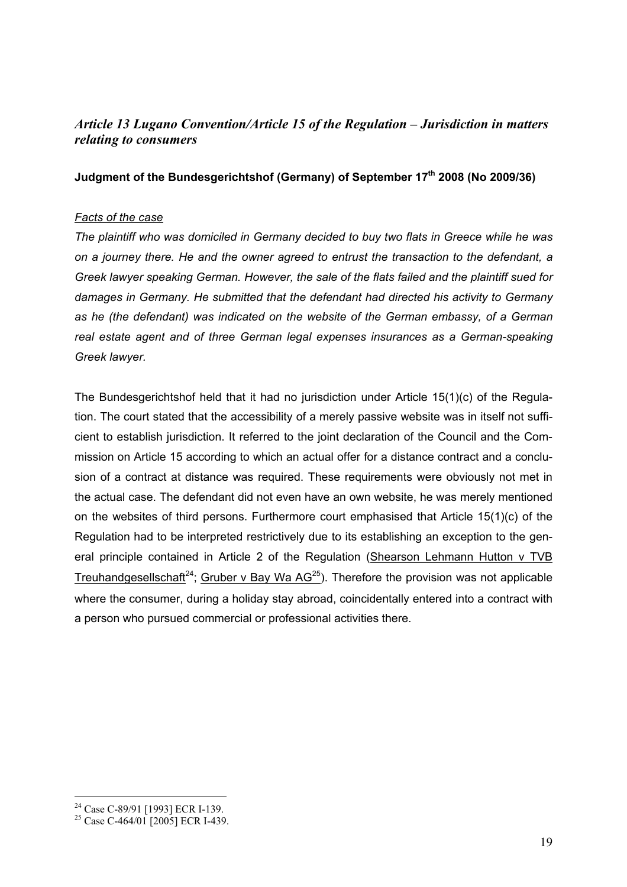## *Article 13 Lugano Convention/Article 15 of the Regulation – Jurisdiction in matters relating to consumers*

### **Judgment of the Bundesgerichtshof (Germany) of September 17th 2008 (No 2009/36)**

#### *Facts of the case*

*The plaintiff who was domiciled in Germany decided to buy two flats in Greece while he was on a journey there. He and the owner agreed to entrust the transaction to the defendant, a Greek lawyer speaking German. However, the sale of the flats failed and the plaintiff sued for damages in Germany. He submitted that the defendant had directed his activity to Germany as he (the defendant) was indicated on the website of the German embassy, of a German real estate agent and of three German legal expenses insurances as a German-speaking Greek lawyer.* 

The Bundesgerichtshof held that it had no jurisdiction under Article 15(1)(c) of the Regulation. The court stated that the accessibility of a merely passive website was in itself not sufficient to establish jurisdiction. It referred to the joint declaration of the Council and the Commission on Article 15 according to which an actual offer for a distance contract and a conclusion of a contract at distance was required. These requirements were obviously not met in the actual case. The defendant did not even have an own website, he was merely mentioned on the websites of third persons. Furthermore court emphasised that Article 15(1)(c) of the Regulation had to be interpreted restrictively due to its establishing an exception to the general principle contained in Article 2 of the Regulation (Shearson Lehmann Hutton v TVB Treuhandgesellschaft<sup>24</sup>; Gruber v Bay Wa  $AG^{25}$ ). Therefore the provision was not applicable where the consumer, during a holiday stay abroad, coincidentally entered into a contract with a person who pursued commercial or professional activities there.

1

<sup>&</sup>lt;sup>24</sup> Case C-89/91 [1993] ECR I-139.

<sup>&</sup>lt;sup>25</sup> Case C-464/01 [2005] ECR I-439.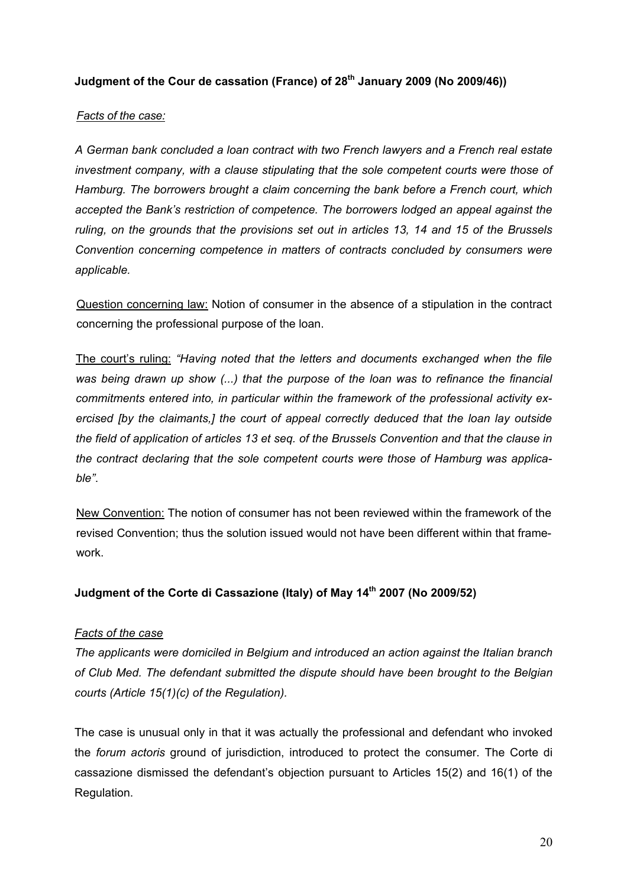## **Judgment of the Cour de cassation (France) of 28th January 2009 (No 2009/46))**

#### *Facts of the case:*

*A German bank concluded a loan contract with two French lawyers and a French real estate investment company, with a clause stipulating that the sole competent courts were those of Hamburg. The borrowers brought a claim concerning the bank before a French court, which accepted the Bank's restriction of competence. The borrowers lodged an appeal against the ruling, on the grounds that the provisions set out in articles 13, 14 and 15 of the Brussels Convention concerning competence in matters of contracts concluded by consumers were applicable.* 

Question concerning law: Notion of consumer in the absence of a stipulation in the contract concerning the professional purpose of the loan.

The court's ruling: *"Having noted that the letters and documents exchanged when the file was being drawn up show (...) that the purpose of the loan was to refinance the financial commitments entered into, in particular within the framework of the professional activity exercised [by the claimants,] the court of appeal correctly deduced that the loan lay outside the field of application of articles 13 et seq. of the Brussels Convention and that the clause in the contract declaring that the sole competent courts were those of Hamburg was applicable"*.

New Convention: The notion of consumer has not been reviewed within the framework of the revised Convention; thus the solution issued would not have been different within that framework.

#### **Judgment of the Corte di Cassazione (Italy) of May 14th 2007 (No 2009/52)**

#### *Facts of the case*

*The applicants were domiciled in Belgium and introduced an action against the Italian branch of Club Med. The defendant submitted the dispute should have been brought to the Belgian courts (Article 15(1)(c) of the Regulation).* 

The case is unusual only in that it was actually the professional and defendant who invoked the *forum actoris* ground of jurisdiction, introduced to protect the consumer. The Corte di cassazione dismissed the defendant's objection pursuant to Articles 15(2) and 16(1) of the Regulation.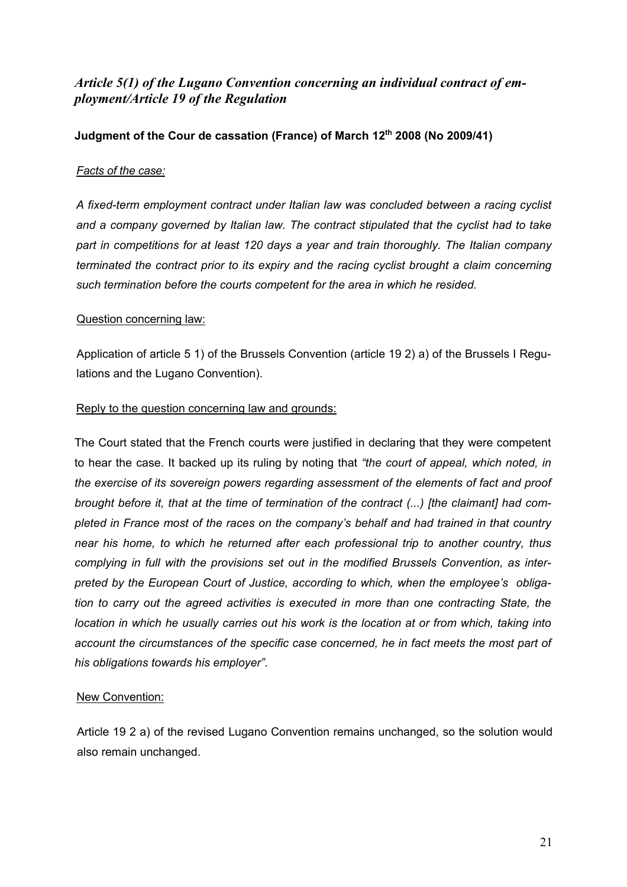## *Article 5(1) of the Lugano Convention concerning an individual contract of employment/Article 19 of the Regulation*

## **Judgment of the Cour de cassation (France) of March 12th 2008 (No 2009/41)**

### *Facts of the case:*

*A fixed-term employment contract under Italian law was concluded between a racing cyclist and a company governed by Italian law. The contract stipulated that the cyclist had to take part in competitions for at least 120 days a year and train thoroughly. The Italian company terminated the contract prior to its expiry and the racing cyclist brought a claim concerning such termination before the courts competent for the area in which he resided.* 

### Question concerning law:

Application of article 5 1) of the Brussels Convention (article 19 2) a) of the Brussels I Regulations and the Lugano Convention).

#### Reply to the question concerning law and grounds:

The Court stated that the French courts were justified in declaring that they were competent to hear the case. It backed up its ruling by noting that *"the court of appeal, which noted, in the exercise of its sovereign powers regarding assessment of the elements of fact and proof brought before it, that at the time of termination of the contract (...) [the claimant] had completed in France most of the races on the company's behalf and had trained in that country near his home, to which he returned after each professional trip to another country, thus complying in full with the provisions set out in the modified Brussels Convention, as interpreted by the European Court of Justice, according to which, when the employee's obligation to carry out the agreed activities is executed in more than one contracting State, the location in which he usually carries out his work is the location at or from which, taking into account the circumstances of the specific case concerned, he in fact meets the most part of his obligations towards his employer"*.

#### New Convention:

Article 19 2 a) of the revised Lugano Convention remains unchanged, so the solution would also remain unchanged.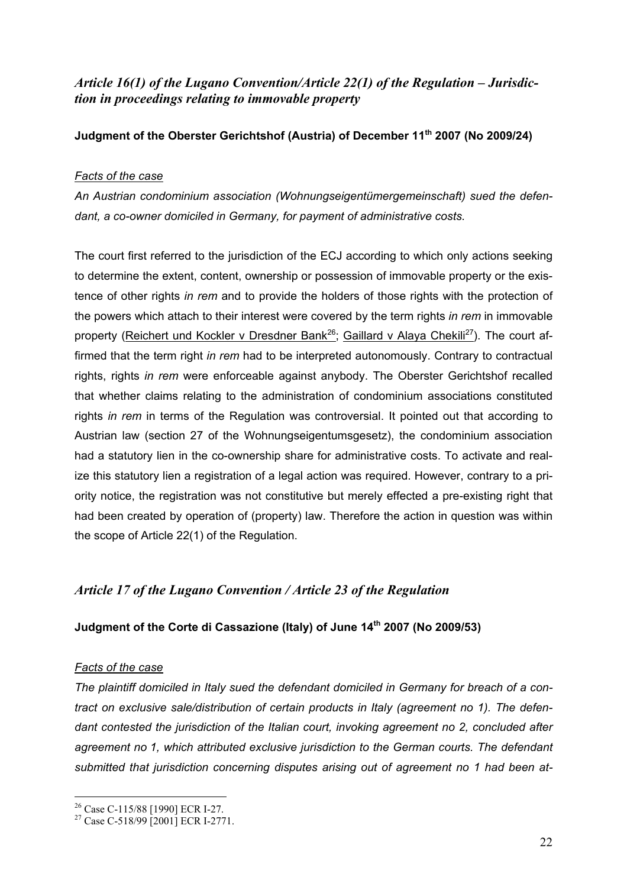## *Article 16(1) of the Lugano Convention/Article 22(1) of the Regulation – Jurisdiction in proceedings relating to immovable property*

## **Judgment of the Oberster Gerichtshof (Austria) of December 11th 2007 (No 2009/24)**

### *Facts of the case*

*An Austrian condominium association (Wohnungseigentümergemeinschaft) sued the defendant, a co-owner domiciled in Germany, for payment of administrative costs.*

The court first referred to the jurisdiction of the ECJ according to which only actions seeking to determine the extent, content, ownership or possession of immovable property or the existence of other rights *in rem* and to provide the holders of those rights with the protection of the powers which attach to their interest were covered by the term rights *in rem* in immovable property (Reichert und Kockler v Dresdner Bank<sup>26</sup>; Gaillard v Alaya Chekili<sup>27</sup>). The court affirmed that the term right *in rem* had to be interpreted autonomously. Contrary to contractual rights, rights *in rem* were enforceable against anybody. The Oberster Gerichtshof recalled that whether claims relating to the administration of condominium associations constituted rights *in rem* in terms of the Regulation was controversial. It pointed out that according to Austrian law (section 27 of the Wohnungseigentumsgesetz), the condominium association had a statutory lien in the co-ownership share for administrative costs. To activate and realize this statutory lien a registration of a legal action was required. However, contrary to a priority notice, the registration was not constitutive but merely effected a pre-existing right that had been created by operation of (property) law. Therefore the action in question was within the scope of Article 22(1) of the Regulation.

## *Article 17 of the Lugano Convention / Article 23 of the Regulation*

## **Judgment of the Corte di Cassazione (Italy) of June 14th 2007 (No 2009/53)**

#### *Facts of the case*

1

*The plaintiff domiciled in Italy sued the defendant domiciled in Germany for breach of a contract on exclusive sale/distribution of certain products in Italy (agreement no 1). The defendant contested the jurisdiction of the Italian court, invoking agreement no 2, concluded after agreement no 1, which attributed exclusive jurisdiction to the German courts. The defendant submitted that jurisdiction concerning disputes arising out of agreement no 1 had been at-*

<sup>&</sup>lt;sup>26</sup> Case C-115/88 [1990] ECR I-27.

<sup>&</sup>lt;sup>27</sup> Case C-518/99 [2001] ECR I-2771.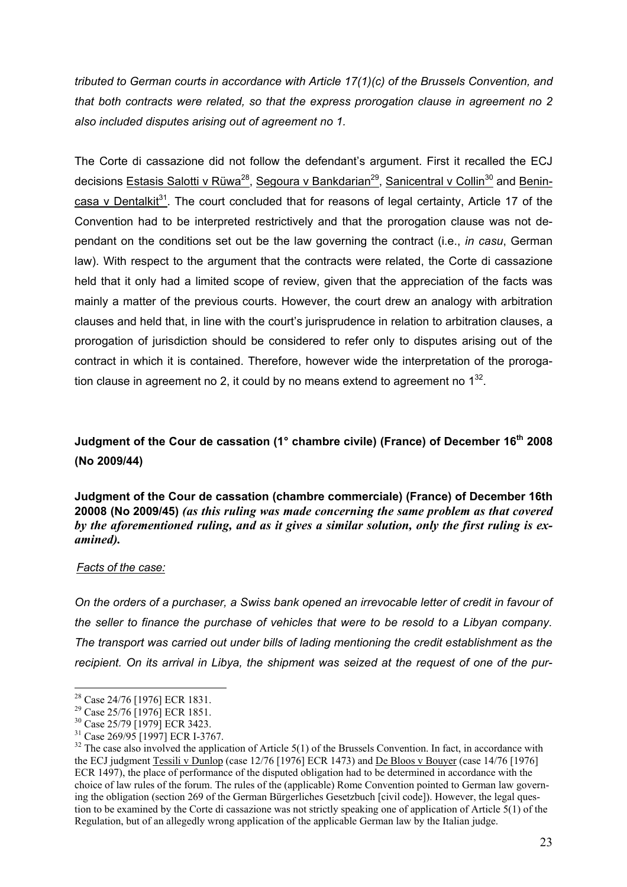*tributed to German courts in accordance with Article 17(1)(c) of the Brussels Convention, and that both contracts were related, so that the express prorogation clause in agreement no 2 also included disputes arising out of agreement no 1.* 

The Corte di cassazione did not follow the defendant's argument. First it recalled the ECJ decisions Estasis Salotti v Rüwa<sup>28</sup>, Segoura v Bankdarian<sup>29</sup>, Sanicentral v Collin<sup>30</sup> and Benincasa v Dentalkit $31$ . The court concluded that for reasons of legal certainty, Article 17 of the Convention had to be interpreted restrictively and that the prorogation clause was not dependant on the conditions set out be the law governing the contract (i.e., *in casu*, German law). With respect to the argument that the contracts were related, the Corte di cassazione held that it only had a limited scope of review, given that the appreciation of the facts was mainly a matter of the previous courts. However, the court drew an analogy with arbitration clauses and held that, in line with the court's jurisprudence in relation to arbitration clauses, a prorogation of jurisdiction should be considered to refer only to disputes arising out of the contract in which it is contained. Therefore, however wide the interpretation of the prorogation clause in agreement no 2, it could by no means extend to agreement no  $1^{32}$ .

## **Judgment of the Cour de cassation (1° chambre civile) (France) of December 16th 2008 (No 2009/44)**

**Judgment of the Cour de cassation (chambre commerciale) (France) of December 16th 20008 (No 2009/45)** *(as this ruling was made concerning the same problem as that covered by the aforementioned ruling, and as it gives a similar solution, only the first ruling is examined).*

#### *Facts of the case:*

<u>.</u>

*On the orders of a purchaser, a Swiss bank opened an irrevocable letter of credit in favour of the seller to finance the purchase of vehicles that were to be resold to a Libyan company. The transport was carried out under bills of lading mentioning the credit establishment as the recipient. On its arrival in Libya, the shipment was seized at the request of one of the pur-*

<sup>28</sup> Case 24/76 [1976] ECR 1831.

<sup>29</sup> Case 25/76 [1976] ECR 1851.

<sup>30</sup> Case 25/79 [1979] ECR 3423.

<sup>31</sup> Case 269/95 [1997] ECR I-3767.

 $32$  The case also involved the application of Article 5(1) of the Brussels Convention. In fact, in accordance with the ECJ judgment Tessili v Dunlop (case 12/76 [1976] ECR 1473) and De Bloos v Bouyer (case 14/76 [1976] ECR 1497), the place of performance of the disputed obligation had to be determined in accordance with the choice of law rules of the forum. The rules of the (applicable) Rome Convention pointed to German law governing the obligation (section 269 of the German Bürgerliches Gesetzbuch [civil code]). However, the legal question to be examined by the Corte di cassazione was not strictly speaking one of application of Article 5(1) of the Regulation, but of an allegedly wrong application of the applicable German law by the Italian judge.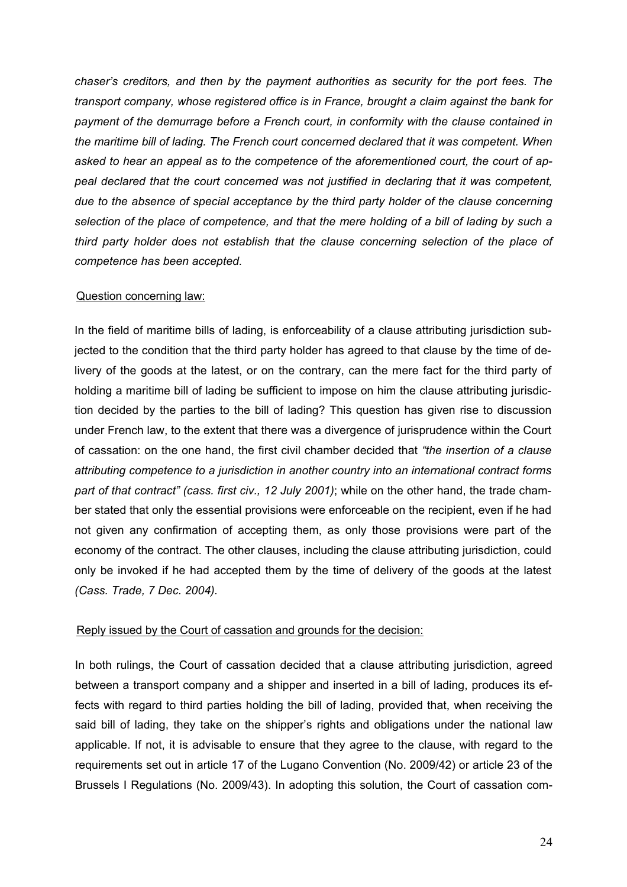*chaser's creditors, and then by the payment authorities as security for the port fees. The transport company, whose registered office is in France, brought a claim against the bank for payment of the demurrage before a French court, in conformity with the clause contained in the maritime bill of lading. The French court concerned declared that it was competent. When asked to hear an appeal as to the competence of the aforementioned court, the court of appeal declared that the court concerned was not justified in declaring that it was competent, due to the absence of special acceptance by the third party holder of the clause concerning selection of the place of competence, and that the mere holding of a bill of lading by such a third party holder does not establish that the clause concerning selection of the place of competence has been accepted.* 

#### Question concerning law:

In the field of maritime bills of lading, is enforceability of a clause attributing jurisdiction subjected to the condition that the third party holder has agreed to that clause by the time of delivery of the goods at the latest, or on the contrary, can the mere fact for the third party of holding a maritime bill of lading be sufficient to impose on him the clause attributing jurisdiction decided by the parties to the bill of lading? This question has given rise to discussion under French law, to the extent that there was a divergence of jurisprudence within the Court of cassation: on the one hand, the first civil chamber decided that *"the insertion of a clause attributing competence to a jurisdiction in another country into an international contract forms part of that contract" (cass. first civ., 12 July 2001)*; while on the other hand, the trade chamber stated that only the essential provisions were enforceable on the recipient, even if he had not given any confirmation of accepting them, as only those provisions were part of the economy of the contract. The other clauses, including the clause attributing jurisdiction, could only be invoked if he had accepted them by the time of delivery of the goods at the latest *(Cass. Trade, 7 Dec. 2004).*

#### Reply issued by the Court of cassation and grounds for the decision:

In both rulings, the Court of cassation decided that a clause attributing jurisdiction, agreed between a transport company and a shipper and inserted in a bill of lading, produces its effects with regard to third parties holding the bill of lading, provided that, when receiving the said bill of lading, they take on the shipper's rights and obligations under the national law applicable. If not, it is advisable to ensure that they agree to the clause, with regard to the requirements set out in article 17 of the Lugano Convention (No. 2009/42) or article 23 of the Brussels I Regulations (No. 2009/43). In adopting this solution, the Court of cassation com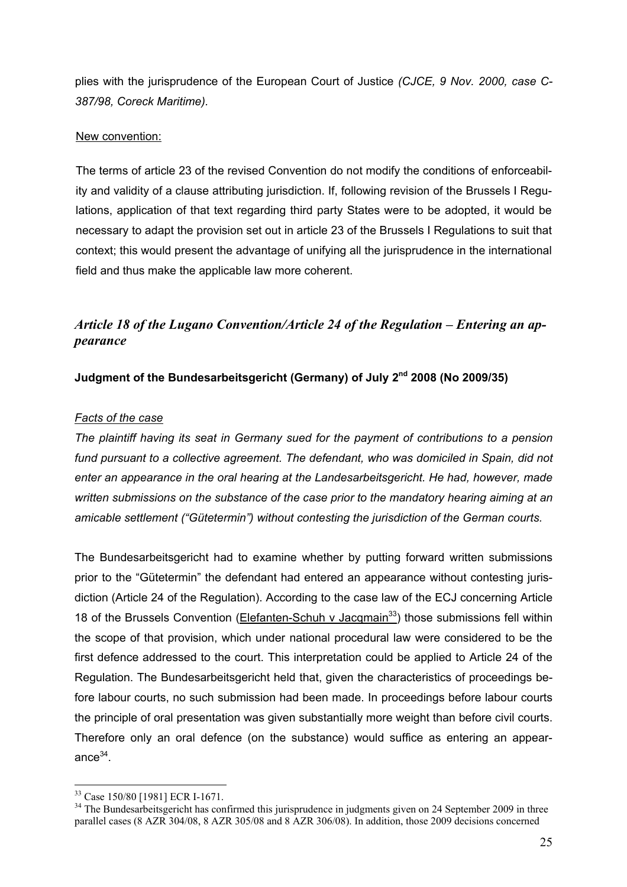plies with the jurisprudence of the European Court of Justice *(CJCE, 9 Nov. 2000, case C-387/98, Coreck Maritime).*

#### New convention:

The terms of article 23 of the revised Convention do not modify the conditions of enforceability and validity of a clause attributing jurisdiction. If, following revision of the Brussels I Regulations, application of that text regarding third party States were to be adopted, it would be necessary to adapt the provision set out in article 23 of the Brussels I Regulations to suit that context; this would present the advantage of unifying all the jurisprudence in the international field and thus make the applicable law more coherent.

## *Article 18 of the Lugano Convention/Article 24 of the Regulation – Entering an appearance*

### **Judgment of the Bundesarbeitsgericht (Germany) of July 2nd 2008 (No 2009/35)**

#### *Facts of the case*

*The plaintiff having its seat in Germany sued for the payment of contributions to a pension*  fund pursuant to a collective agreement. The defendant, who was domiciled in Spain, did not *enter an appearance in the oral hearing at the Landesarbeitsgericht. He had, however, made written submissions on the substance of the case prior to the mandatory hearing aiming at an amicable settlement ("Gütetermin") without contesting the jurisdiction of the German courts.* 

The Bundesarbeitsgericht had to examine whether by putting forward written submissions prior to the "Gütetermin" the defendant had entered an appearance without contesting jurisdiction (Article 24 of the Regulation). According to the case law of the ECJ concerning Article 18 of the Brussels Convention (Elefanten-Schuh v Jacqmain<sup>33</sup>) those submissions fell within the scope of that provision, which under national procedural law were considered to be the first defence addressed to the court. This interpretation could be applied to Article 24 of the Regulation. The Bundesarbeitsgericht held that, given the characteristics of proceedings before labour courts, no such submission had been made. In proceedings before labour courts the principle of oral presentation was given substantially more weight than before civil courts. Therefore only an oral defence (on the substance) would suffice as entering an appearance $34$ .

1

<sup>33</sup> Case 150/80 [1981] ECR I-1671.

<sup>&</sup>lt;sup>34</sup> The Bundesarbeitsgericht has confirmed this jurisprudence in judgments given on 24 September 2009 in three parallel cases (8 AZR 304/08, 8 AZR 305/08 and 8 AZR 306/08). In addition, those 2009 decisions concerned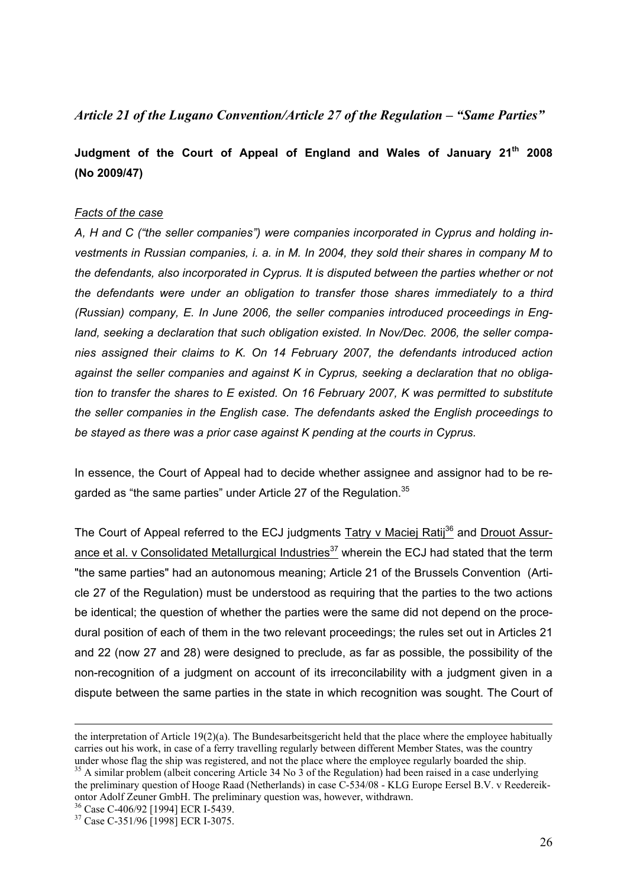## *Article 21 of the Lugano Convention/Article 27 of the Regulation – "Same Parties"*

## **Judgment of the Court of Appeal of England and Wales of January 21th 2008 (No 2009/47)**

#### *Facts of the case*

*A, H and C ("the seller companies") were companies incorporated in Cyprus and holding investments in Russian companies, i. a. in M. In 2004, they sold their shares in company M to the defendants, also incorporated in Cyprus. It is disputed between the parties whether or not the defendants were under an obligation to transfer those shares immediately to a third (Russian) company, E. In June 2006, the seller companies introduced proceedings in England, seeking a declaration that such obligation existed. In Nov/Dec. 2006, the seller companies assigned their claims to K. On 14 February 2007, the defendants introduced action against the seller companies and against K in Cyprus, seeking a declaration that no obligation to transfer the shares to E existed. On 16 February 2007, K was permitted to substitute the seller companies in the English case. The defendants asked the English proceedings to be stayed as there was a prior case against K pending at the courts in Cyprus.* 

In essence, the Court of Appeal had to decide whether assignee and assignor had to be regarded as "the same parties" under Article 27 of the Regulation.<sup>35</sup>

The Court of Appeal referred to the ECJ judgments Tatry v Maciej Ratij<sup>36</sup> and Drouot Assurance et al. v Consolidated Metallurgical Industries<sup>37</sup> wherein the ECJ had stated that the term "the same parties" had an autonomous meaning; Article 21 of the Brussels Convention (Article 27 of the Regulation) must be understood as requiring that the parties to the two actions be identical; the question of whether the parties were the same did not depend on the procedural position of each of them in the two relevant proceedings; the rules set out in Articles 21 and 22 (now 27 and 28) were designed to preclude, as far as possible, the possibility of the non-recognition of a judgment on account of its irreconcilability with a judgment given in a dispute between the same parties in the state in which recognition was sought. The Court of

the interpretation of Article 19(2)(a). The Bundesarbeitsgericht held that the place where the employee habitually carries out his work, in case of a ferry travelling regularly between different Member States, was the country under whose flag the ship was registered, and not the place where the employee regularly boarded the ship. 35 A similar problem (albeit concering Article 34 No 3 of the Regulation) had been raised in a case underlying

the preliminary question of Hooge Raad (Netherlands) in case C-534/08 - KLG Europe Eersel B.V. v Reedereikontor Adolf Zeuner GmbH. The preliminary question was, however, withdrawn.

<sup>36</sup> Case C-406/92 [1994] ECR I-5439.

<sup>&</sup>lt;sup>37</sup> Case C-351/96 [1998] ECR I-3075.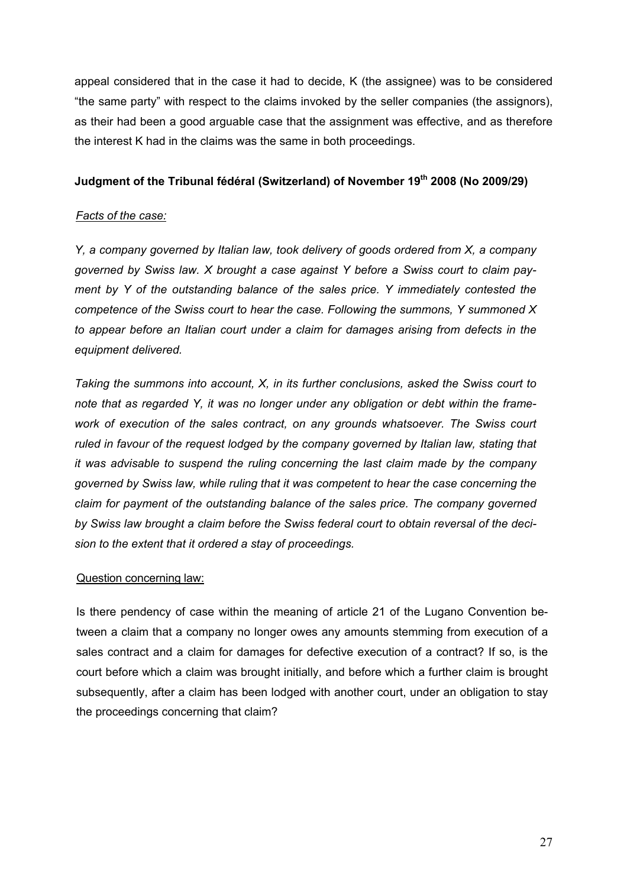appeal considered that in the case it had to decide, K (the assignee) was to be considered "the same party" with respect to the claims invoked by the seller companies (the assignors), as their had been a good arguable case that the assignment was effective, and as therefore the interest K had in the claims was the same in both proceedings.

## **Judgment of the Tribunal fédéral (Switzerland) of November 19<sup>th</sup> 2008 (No 2009/29)**

#### *Facts of the case:*

*Y, a company governed by Italian law, took delivery of goods ordered from X, a company governed by Swiss law. X brought a case against Y before a Swiss court to claim payment by Y of the outstanding balance of the sales price. Y immediately contested the competence of the Swiss court to hear the case. Following the summons, Y summoned X to appear before an Italian court under a claim for damages arising from defects in the equipment delivered.* 

*Taking the summons into account, X, in its further conclusions, asked the Swiss court to note that as regarded Y, it was no longer under any obligation or debt within the framework of execution of the sales contract, on any grounds whatsoever. The Swiss court ruled in favour of the request lodged by the company governed by Italian law, stating that it was advisable to suspend the ruling concerning the last claim made by the company governed by Swiss law, while ruling that it was competent to hear the case concerning the claim for payment of the outstanding balance of the sales price. The company governed by Swiss law brought a claim before the Swiss federal court to obtain reversal of the decision to the extent that it ordered a stay of proceedings.* 

#### Question concerning law:

Is there pendency of case within the meaning of article 21 of the Lugano Convention between a claim that a company no longer owes any amounts stemming from execution of a sales contract and a claim for damages for defective execution of a contract? If so, is the court before which a claim was brought initially, and before which a further claim is brought subsequently, after a claim has been lodged with another court, under an obligation to stay the proceedings concerning that claim?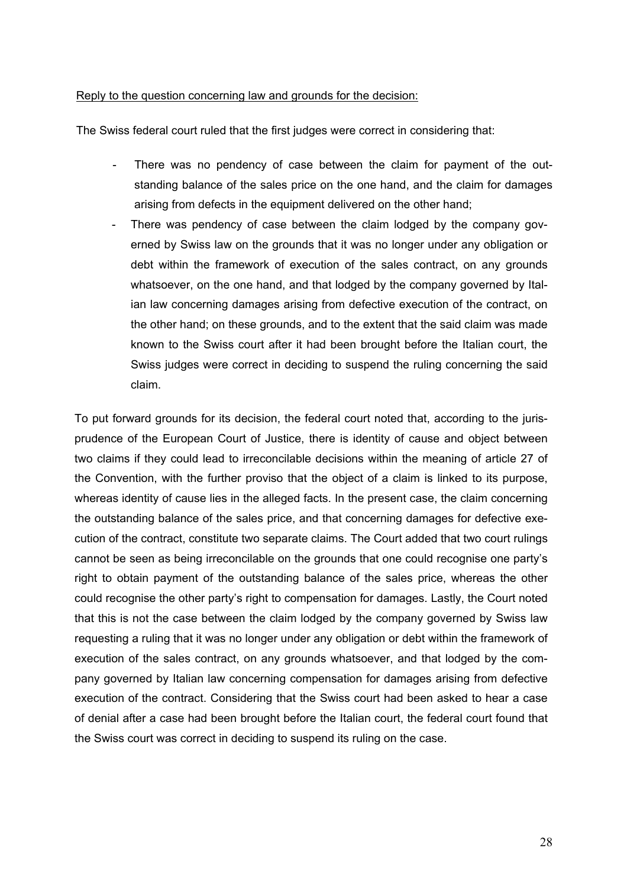#### Reply to the question concerning law and grounds for the decision:

The Swiss federal court ruled that the first judges were correct in considering that:

- There was no pendency of case between the claim for payment of the outstanding balance of the sales price on the one hand, and the claim for damages arising from defects in the equipment delivered on the other hand;
- There was pendency of case between the claim lodged by the company governed by Swiss law on the grounds that it was no longer under any obligation or debt within the framework of execution of the sales contract, on any grounds whatsoever, on the one hand, and that lodged by the company governed by Italian law concerning damages arising from defective execution of the contract, on the other hand; on these grounds, and to the extent that the said claim was made known to the Swiss court after it had been brought before the Italian court, the Swiss judges were correct in deciding to suspend the ruling concerning the said claim.

To put forward grounds for its decision, the federal court noted that, according to the jurisprudence of the European Court of Justice, there is identity of cause and object between two claims if they could lead to irreconcilable decisions within the meaning of article 27 of the Convention, with the further proviso that the object of a claim is linked to its purpose, whereas identity of cause lies in the alleged facts. In the present case, the claim concerning the outstanding balance of the sales price, and that concerning damages for defective execution of the contract, constitute two separate claims. The Court added that two court rulings cannot be seen as being irreconcilable on the grounds that one could recognise one party's right to obtain payment of the outstanding balance of the sales price, whereas the other could recognise the other party's right to compensation for damages. Lastly, the Court noted that this is not the case between the claim lodged by the company governed by Swiss law requesting a ruling that it was no longer under any obligation or debt within the framework of execution of the sales contract, on any grounds whatsoever, and that lodged by the company governed by Italian law concerning compensation for damages arising from defective execution of the contract. Considering that the Swiss court had been asked to hear a case of denial after a case had been brought before the Italian court, the federal court found that the Swiss court was correct in deciding to suspend its ruling on the case.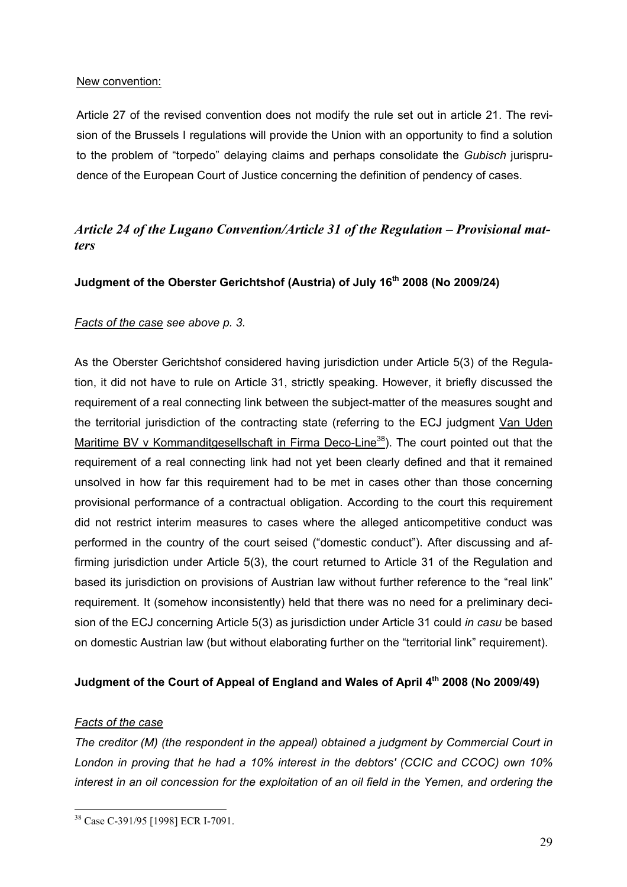#### New convention:

Article 27 of the revised convention does not modify the rule set out in article 21. The revision of the Brussels I regulations will provide the Union with an opportunity to find a solution to the problem of "torpedo" delaying claims and perhaps consolidate the *Gubisch* jurisprudence of the European Court of Justice concerning the definition of pendency of cases.

## *Article 24 of the Lugano Convention/Article 31 of the Regulation – Provisional matters*

## **Judgment of the Oberster Gerichtshof (Austria) of July 16th 2008 (No 2009/24)**

## *Facts of the case see above p. 3.*

As the Oberster Gerichtshof considered having jurisdiction under Article 5(3) of the Regulation, it did not have to rule on Article 31, strictly speaking. However, it briefly discussed the requirement of a real connecting link between the subject-matter of the measures sought and the territorial jurisdiction of the contracting state (referring to the ECJ judgment Van Uden Maritime BV v Kommanditgesellschaft in Firma Deco-Line<sup>38</sup>). The court pointed out that the requirement of a real connecting link had not yet been clearly defined and that it remained unsolved in how far this requirement had to be met in cases other than those concerning provisional performance of a contractual obligation. According to the court this requirement did not restrict interim measures to cases where the alleged anticompetitive conduct was performed in the country of the court seised ("domestic conduct"). After discussing and affirming jurisdiction under Article 5(3), the court returned to Article 31 of the Regulation and based its jurisdiction on provisions of Austrian law without further reference to the "real link" requirement. It (somehow inconsistently) held that there was no need for a preliminary decision of the ECJ concerning Article 5(3) as jurisdiction under Article 31 could *in casu* be based on domestic Austrian law (but without elaborating further on the "territorial link" requirement).

## **Judgment of the Court of Appeal of England and Wales of April 4th 2008 (No 2009/49)**

#### *Facts of the case*

1

*The creditor (M) (the respondent in the appeal) obtained a judgment by Commercial Court in London in proving that he had a 10% interest in the debtors' (CCIC and CCOC) own 10% interest in an oil concession for the exploitation of an oil field in the Yemen, and ordering the* 

<sup>38</sup> Case C-391/95 [1998] ECR I-7091.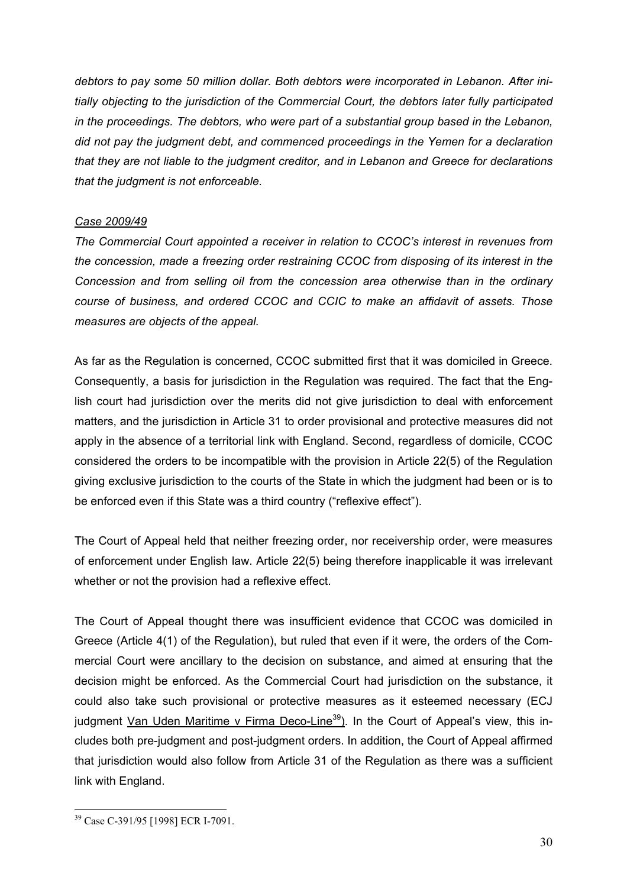*debtors to pay some 50 million dollar. Both debtors were incorporated in Lebanon. After initially objecting to the jurisdiction of the Commercial Court, the debtors later fully participated in the proceedings. The debtors, who were part of a substantial group based in the Lebanon, did not pay the judgment debt, and commenced proceedings in the Yemen for a declaration that they are not liable to the judgment creditor, and in Lebanon and Greece for declarations that the judgment is not enforceable.* 

## *Case 2009/49*

*The Commercial Court appointed a receiver in relation to CCOC's interest in revenues from the concession, made a freezing order restraining CCOC from disposing of its interest in the Concession and from selling oil from the concession area otherwise than in the ordinary course of business, and ordered CCOC and CCIC to make an affidavit of assets. Those measures are objects of the appeal.* 

As far as the Regulation is concerned, CCOC submitted first that it was domiciled in Greece. Consequently, a basis for jurisdiction in the Regulation was required. The fact that the English court had jurisdiction over the merits did not give jurisdiction to deal with enforcement matters, and the jurisdiction in Article 31 to order provisional and protective measures did not apply in the absence of a territorial link with England. Second, regardless of domicile, CCOC considered the orders to be incompatible with the provision in Article 22(5) of the Regulation giving exclusive jurisdiction to the courts of the State in which the judgment had been or is to be enforced even if this State was a third country ("reflexive effect").

The Court of Appeal held that neither freezing order, nor receivership order, were measures of enforcement under English law. Article 22(5) being therefore inapplicable it was irrelevant whether or not the provision had a reflexive effect.

The Court of Appeal thought there was insufficient evidence that CCOC was domiciled in Greece (Article 4(1) of the Regulation), but ruled that even if it were, the orders of the Commercial Court were ancillary to the decision on substance, and aimed at ensuring that the decision might be enforced. As the Commercial Court had jurisdiction on the substance, it could also take such provisional or protective measures as it esteemed necessary (ECJ judgment Van Uden Maritime v Firma Deco-Line<sup>39</sup>). In the Court of Appeal's view, this includes both pre-judgment and post-judgment orders. In addition, the Court of Appeal affirmed that jurisdiction would also follow from Article 31 of the Regulation as there was a sufficient link with England.

<sup>1</sup> 39 Case C-391/95 [1998] ECR I-7091.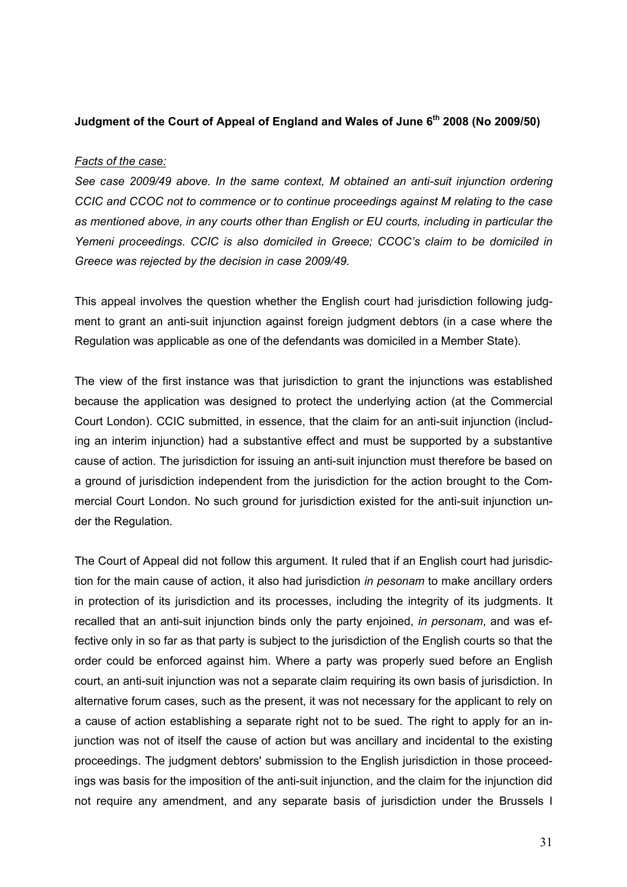### Judgment of the Court of Appeal of England and Wales of June 6<sup>th</sup> 2008 (No 2009/50)

#### *Facts of the case:*

*See case 2009/49 above. In the same context, M obtained an anti-suit injunction ordering CCIC and CCOC not to commence or to continue proceedings against M relating to the case as mentioned above, in any courts other than English or EU courts, including in particular the Yemeni proceedings. CCIC is also domiciled in Greece; CCOC's claim to be domiciled in Greece was rejected by the decision in case 2009/49.* 

This appeal involves the question whether the English court had jurisdiction following judgment to grant an anti-suit injunction against foreign judgment debtors (in a case where the Regulation was applicable as one of the defendants was domiciled in a Member State).

The view of the first instance was that jurisdiction to grant the injunctions was established because the application was designed to protect the underlying action (at the Commercial Court London). CCIC submitted, in essence, that the claim for an anti-suit injunction (including an interim injunction) had a substantive effect and must be supported by a substantive cause of action. The jurisdiction for issuing an anti-suit injunction must therefore be based on a ground of jurisdiction independent from the jurisdiction for the action brought to the Commercial Court London. No such ground for jurisdiction existed for the anti-suit injunction under the Regulation.

The Court of Appeal did not follow this argument. It ruled that if an English court had jurisdiction for the main cause of action, it also had jurisdiction *in pesonam* to make ancillary orders in protection of its jurisdiction and its processes, including the integrity of its judgments. It recalled that an anti-suit injunction binds only the party enjoined, *in personam*, and was effective only in so far as that party is subject to the jurisdiction of the English courts so that the order could be enforced against him. Where a party was properly sued before an English court, an anti-suit injunction was not a separate claim requiring its own basis of jurisdiction. In alternative forum cases, such as the present, it was not necessary for the applicant to rely on a cause of action establishing a separate right not to be sued. The right to apply for an injunction was not of itself the cause of action but was ancillary and incidental to the existing proceedings. The judgment debtors' submission to the English jurisdiction in those proceedings was basis for the imposition of the anti-suit injunction, and the claim for the injunction did not require any amendment, and any separate basis of jurisdiction under the Brussels I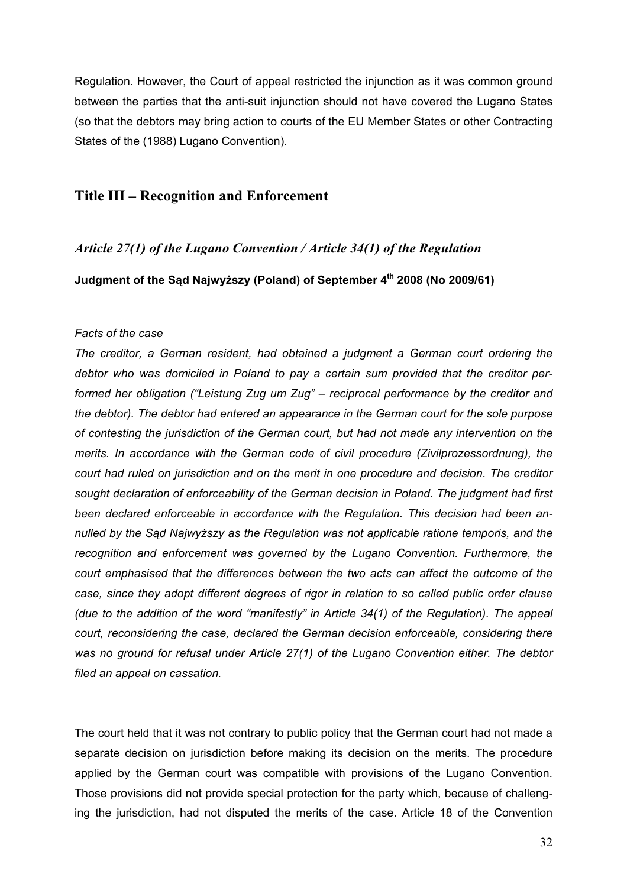Regulation. However, the Court of appeal restricted the injunction as it was common ground between the parties that the anti-suit injunction should not have covered the Lugano States (so that the debtors may bring action to courts of the EU Member States or other Contracting States of the (1988) Lugano Convention).

## **Title III – Recognition and Enforcement**

### *Article 27(1) of the Lugano Convention / Article 34(1) of the Regulation*

**Judgment of the Sąd Najwyższy (Poland) of September 4th 2008 (No 2009/61)** 

#### *Facts of the case*

*The creditor, a German resident, had obtained a judgment a German court ordering the debtor who was domiciled in Poland to pay a certain sum provided that the creditor performed her obligation ("Leistung Zug um Zug" – reciprocal performance by the creditor and the debtor). The debtor had entered an appearance in the German court for the sole purpose of contesting the jurisdiction of the German court, but had not made any intervention on the merits. In accordance with the German code of civil procedure (Zivilprozessordnung), the court had ruled on jurisdiction and on the merit in one procedure and decision. The creditor sought declaration of enforceability of the German decision in Poland. The judgment had first been declared enforceable in accordance with the Regulation. This decision had been annulled by the Sąd Najwyższy as the Regulation was not applicable ratione temporis, and the recognition and enforcement was governed by the Lugano Convention. Furthermore, the court emphasised that the differences between the two acts can affect the outcome of the case, since they adopt different degrees of rigor in relation to so called public order clause (due to the addition of the word "manifestly" in Article 34(1) of the Regulation). The appeal court, reconsidering the case, declared the German decision enforceable, considering there was no ground for refusal under Article 27(1) of the Lugano Convention either. The debtor filed an appeal on cassation.* 

The court held that it was not contrary to public policy that the German court had not made a separate decision on jurisdiction before making its decision on the merits. The procedure applied by the German court was compatible with provisions of the Lugano Convention. Those provisions did not provide special protection for the party which, because of challenging the jurisdiction, had not disputed the merits of the case. Article 18 of the Convention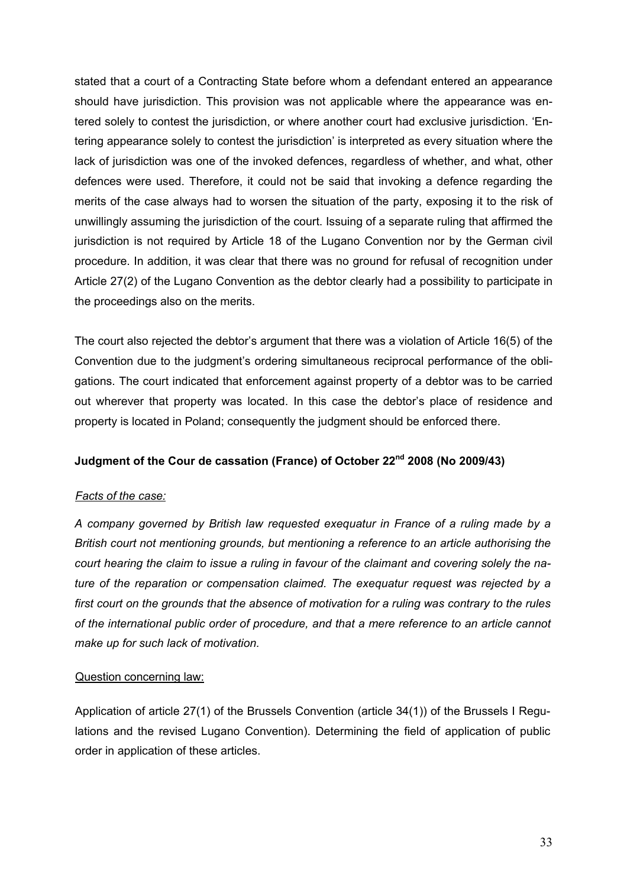stated that a court of a Contracting State before whom a defendant entered an appearance should have jurisdiction. This provision was not applicable where the appearance was entered solely to contest the jurisdiction, or where another court had exclusive jurisdiction. 'Entering appearance solely to contest the jurisdiction' is interpreted as every situation where the lack of jurisdiction was one of the invoked defences, regardless of whether, and what, other defences were used. Therefore, it could not be said that invoking a defence regarding the merits of the case always had to worsen the situation of the party, exposing it to the risk of unwillingly assuming the jurisdiction of the court. Issuing of a separate ruling that affirmed the jurisdiction is not required by Article 18 of the Lugano Convention nor by the German civil procedure. In addition, it was clear that there was no ground for refusal of recognition under Article 27(2) of the Lugano Convention as the debtor clearly had a possibility to participate in the proceedings also on the merits.

The court also rejected the debtor's argument that there was a violation of Article 16(5) of the Convention due to the judgment's ordering simultaneous reciprocal performance of the obligations. The court indicated that enforcement against property of a debtor was to be carried out wherever that property was located. In this case the debtor's place of residence and property is located in Poland; consequently the judgment should be enforced there.

## **Judgment of the Cour de cassation (France) of October 22nd 2008 (No 2009/43)**

## *Facts of the case:*

*A company governed by British law requested exequatur in France of a ruling made by a British court not mentioning grounds, but mentioning a reference to an article authorising the court hearing the claim to issue a ruling in favour of the claimant and covering solely the nature of the reparation or compensation claimed. The exequatur request was rejected by a first court on the grounds that the absence of motivation for a ruling was contrary to the rules of the international public order of procedure, and that a mere reference to an article cannot make up for such lack of motivation.* 

## Question concerning law:

Application of article 27(1) of the Brussels Convention (article 34(1)) of the Brussels I Regulations and the revised Lugano Convention). Determining the field of application of public order in application of these articles.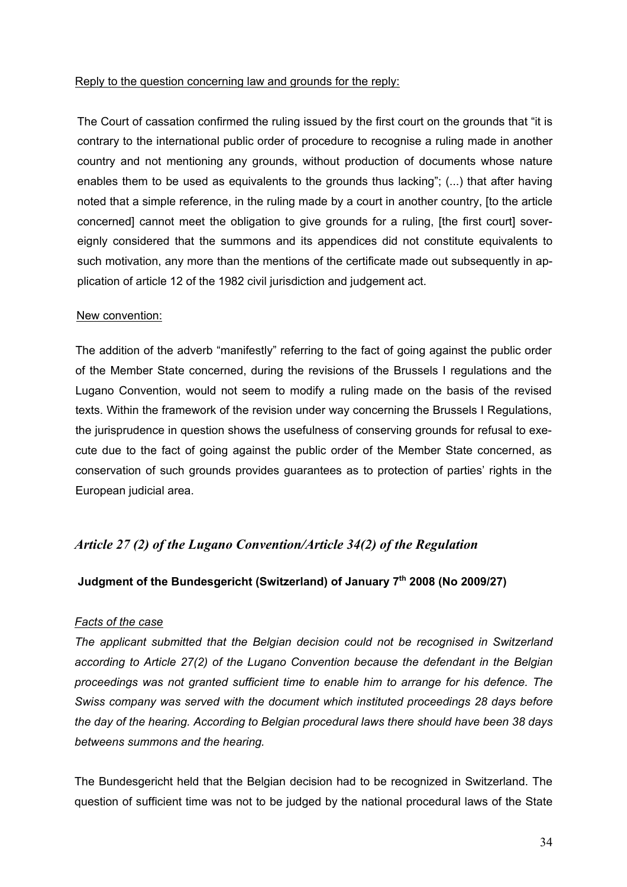#### Reply to the question concerning law and grounds for the reply:

The Court of cassation confirmed the ruling issued by the first court on the grounds that "it is contrary to the international public order of procedure to recognise a ruling made in another country and not mentioning any grounds, without production of documents whose nature enables them to be used as equivalents to the grounds thus lacking"; (...) that after having noted that a simple reference, in the ruling made by a court in another country, [to the article concerned] cannot meet the obligation to give grounds for a ruling, [the first court] sovereignly considered that the summons and its appendices did not constitute equivalents to such motivation, any more than the mentions of the certificate made out subsequently in application of article 12 of the 1982 civil jurisdiction and judgement act.

#### New convention:

The addition of the adverb "manifestly" referring to the fact of going against the public order of the Member State concerned, during the revisions of the Brussels I regulations and the Lugano Convention, would not seem to modify a ruling made on the basis of the revised texts. Within the framework of the revision under way concerning the Brussels I Regulations, the jurisprudence in question shows the usefulness of conserving grounds for refusal to execute due to the fact of going against the public order of the Member State concerned, as conservation of such grounds provides guarantees as to protection of parties' rights in the European judicial area.

## *Article 27 (2) of the Lugano Convention/Article 34(2) of the Regulation*

## **Judgment of the Bundesgericht (Switzerland) of January 7th 2008 (No 2009/27)**

## *Facts of the case*

*The applicant submitted that the Belgian decision could not be recognised in Switzerland according to Article 27(2) of the Lugano Convention because the defendant in the Belgian proceedings was not granted sufficient time to enable him to arrange for his defence. The Swiss company was served with the document which instituted proceedings 28 days before the day of the hearing. According to Belgian procedural laws there should have been 38 days betweens summons and the hearing.* 

The Bundesgericht held that the Belgian decision had to be recognized in Switzerland. The question of sufficient time was not to be judged by the national procedural laws of the State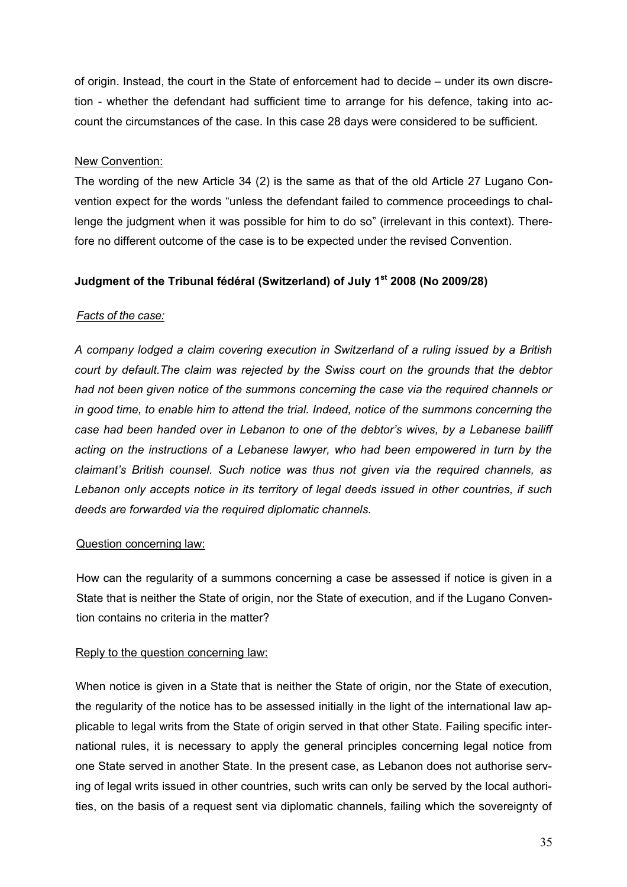of origin. Instead, the court in the State of enforcement had to decide – under its own discretion - whether the defendant had sufficient time to arrange for his defence, taking into account the circumstances of the case. In this case 28 days were considered to be sufficient.

## New Convention:

The wording of the new Article 34 (2) is the same as that of the old Article 27 Lugano Convention expect for the words "unless the defendant failed to commence proceedings to challenge the judgment when it was possible for him to do so" (irrelevant in this context). Therefore no different outcome of the case is to be expected under the revised Convention.

## **Judgment of the Tribunal fédéral (Switzerland) of July 1st 2008 (No 2009/28)**

## *Facts of the case:*

*A company lodged a claim covering execution in Switzerland of a ruling issued by a British court by default.The claim was rejected by the Swiss court on the grounds that the debtor had not been given notice of the summons concerning the case via the required channels or in good time, to enable him to attend the trial. Indeed, notice of the summons concerning the case had been handed over in Lebanon to one of the debtor's wives, by a Lebanese bailiff acting on the instructions of a Lebanese lawyer, who had been empowered in turn by the claimant's British counsel. Such notice was thus not given via the required channels, as Lebanon only accepts notice in its territory of legal deeds issued in other countries, if such deeds are forwarded via the required diplomatic channels.* 

## Question concerning law:

How can the regularity of a summons concerning a case be assessed if notice is given in a State that is neither the State of origin, nor the State of execution, and if the Lugano Convention contains no criteria in the matter?

## Reply to the question concerning law:

When notice is given in a State that is neither the State of origin, nor the State of execution, the regularity of the notice has to be assessed initially in the light of the international law applicable to legal writs from the State of origin served in that other State. Failing specific international rules, it is necessary to apply the general principles concerning legal notice from one State served in another State. In the present case, as Lebanon does not authorise serving of legal writs issued in other countries, such writs can only be served by the local authorities, on the basis of a request sent via diplomatic channels, failing which the sovereignty of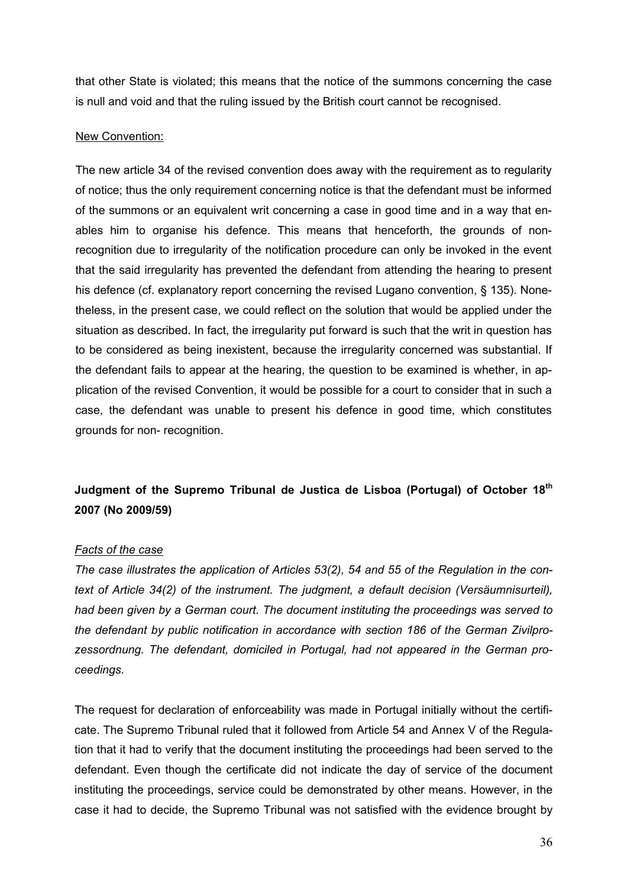that other State is violated; this means that the notice of the summons concerning the case is null and void and that the ruling issued by the British court cannot be recognised.

#### New Convention:

The new article 34 of the revised convention does away with the requirement as to regularity of notice; thus the only requirement concerning notice is that the defendant must be informed of the summons or an equivalent writ concerning a case in good time and in a way that enables him to organise his defence. This means that henceforth, the grounds of nonrecognition due to irregularity of the notification procedure can only be invoked in the event that the said irregularity has prevented the defendant from attending the hearing to present his defence (cf. explanatory report concerning the revised Lugano convention, § 135). Nonetheless, in the present case, we could reflect on the solution that would be applied under the situation as described. In fact, the irregularity put forward is such that the writ in question has to be considered as being inexistent, because the irregularity concerned was substantial. If the defendant fails to appear at the hearing, the question to be examined is whether, in application of the revised Convention, it would be possible for a court to consider that in such a case, the defendant was unable to present his defence in good time, which constitutes grounds for non- recognition.

## **Judgment of the Supremo Tribunal de Justica de Lisboa (Portugal) of October 18th 2007 (No 2009/59)**

#### *Facts of the case*

*The case illustrates the application of Articles 53(2), 54 and 55 of the Regulation in the context of Article 34(2) of the instrument. The judgment, a default decision (Versäumnisurteil), had been given by a German court. The document instituting the proceedings was served to the defendant by public notification in accordance with section 186 of the German Zivilprozessordnung. The defendant, domiciled in Portugal, had not appeared in the German proceedings.* 

The request for declaration of enforceability was made in Portugal initially without the certificate. The Supremo Tribunal ruled that it followed from Article 54 and Annex V of the Regulation that it had to verify that the document instituting the proceedings had been served to the defendant. Even though the certificate did not indicate the day of service of the document instituting the proceedings, service could be demonstrated by other means. However, in the case it had to decide, the Supremo Tribunal was not satisfied with the evidence brought by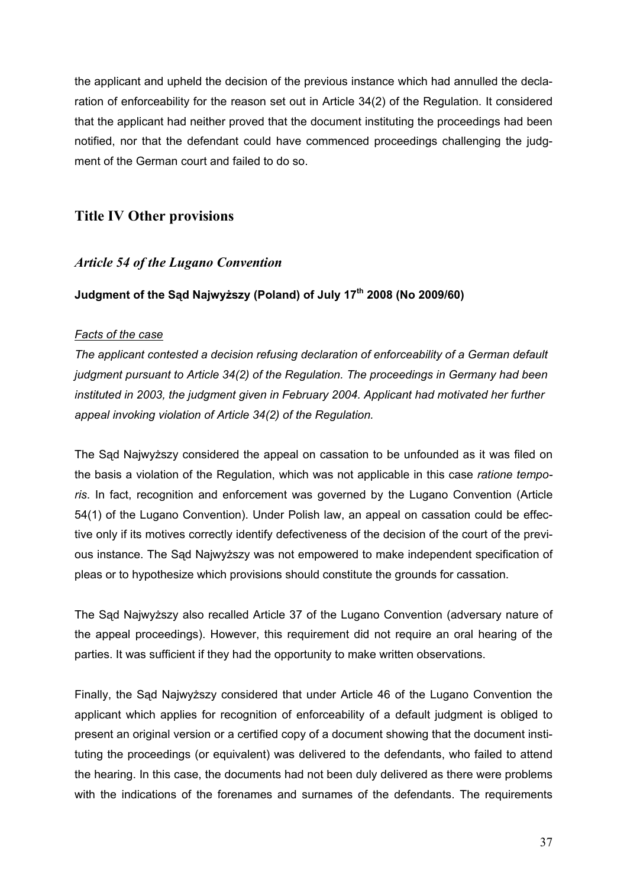the applicant and upheld the decision of the previous instance which had annulled the declaration of enforceability for the reason set out in Article 34(2) of the Regulation. It considered that the applicant had neither proved that the document instituting the proceedings had been notified, nor that the defendant could have commenced proceedings challenging the judgment of the German court and failed to do so.

## **Title IV Other provisions**

## *Article 54 of the Lugano Convention*

## **Judgment of the Sąd Najwyższy (Poland) of July 17th 2008 (No 2009/60)**

### *Facts of the case*

*The applicant contested a decision refusing declaration of enforceability of a German default judgment pursuant to Article 34(2) of the Regulation. The proceedings in Germany had been instituted in 2003, the judgment given in February 2004. Applicant had motivated her further appeal invoking violation of Article 34(2) of the Regulation.* 

The Sąd Najwyższy considered the appeal on cassation to be unfounded as it was filed on the basis a violation of the Regulation, which was not applicable in this case *ratione temporis*. In fact, recognition and enforcement was governed by the Lugano Convention (Article 54(1) of the Lugano Convention). Under Polish law, an appeal on cassation could be effective only if its motives correctly identify defectiveness of the decision of the court of the previous instance. The Sąd Najwyższy was not empowered to make independent specification of pleas or to hypothesize which provisions should constitute the grounds for cassation.

The Sąd Najwyższy also recalled Article 37 of the Lugano Convention (adversary nature of the appeal proceedings). However, this requirement did not require an oral hearing of the parties. It was sufficient if they had the opportunity to make written observations.

Finally, the Sąd Najwyższy considered that under Article 46 of the Lugano Convention the applicant which applies for recognition of enforceability of a default judgment is obliged to present an original version or a certified copy of a document showing that the document instituting the proceedings (or equivalent) was delivered to the defendants, who failed to attend the hearing. In this case, the documents had not been duly delivered as there were problems with the indications of the forenames and surnames of the defendants. The requirements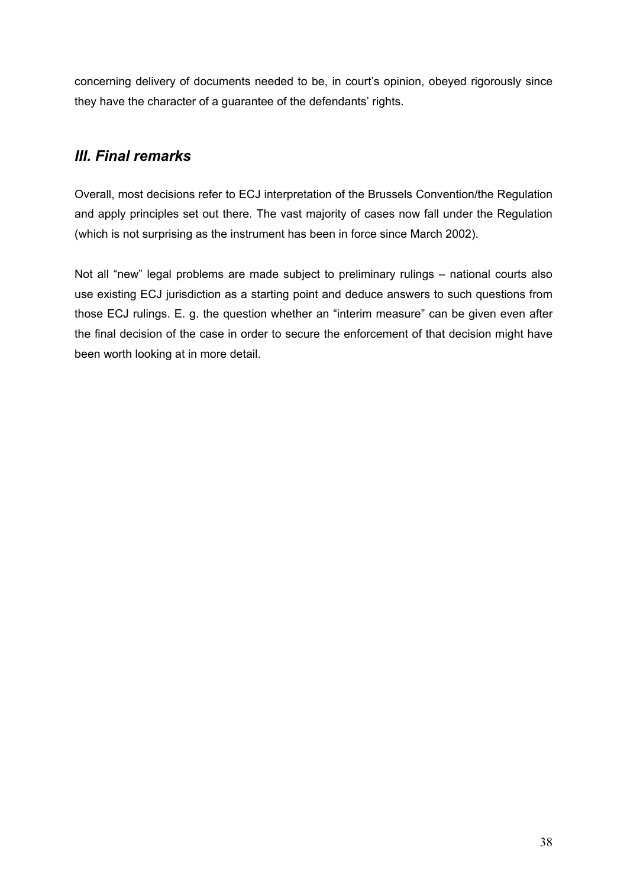concerning delivery of documents needed to be, in court's opinion, obeyed rigorously since they have the character of a guarantee of the defendants' rights.

## *III. Final remarks*

Overall, most decisions refer to ECJ interpretation of the Brussels Convention/the Regulation and apply principles set out there. The vast majority of cases now fall under the Regulation (which is not surprising as the instrument has been in force since March 2002).

Not all "new" legal problems are made subject to preliminary rulings – national courts also use existing ECJ jurisdiction as a starting point and deduce answers to such questions from those ECJ rulings. E. g. the question whether an "interim measure" can be given even after the final decision of the case in order to secure the enforcement of that decision might have been worth looking at in more detail.